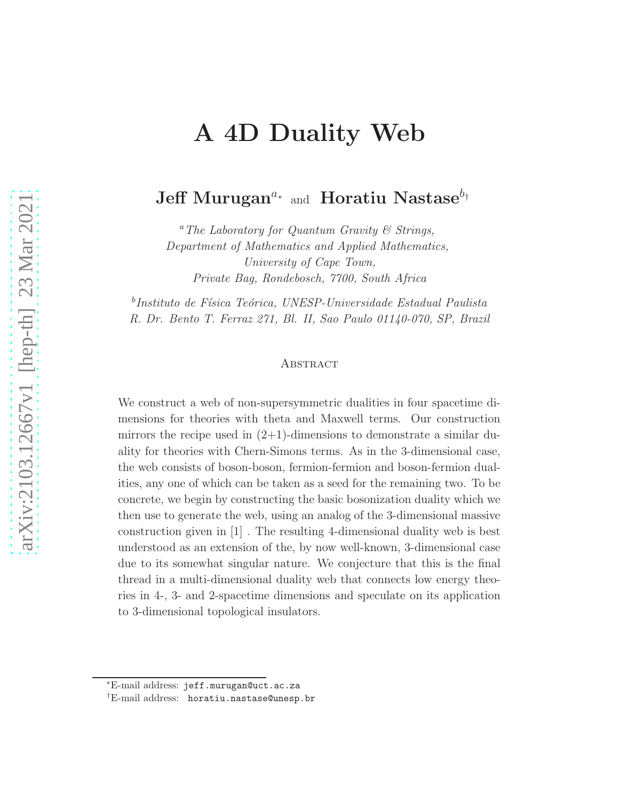# A 4D Duality Web

# Jeff Murugan<sup>a</sup>∗ and Horatiu Nastase<sup>bt</sup>

<sup>a</sup>The Laboratory for Quantum Gravity  $\mathcal C$  Strings, Department of Mathematics and Applied Mathematics, University of Cape Town, Private Bag, Rondebosch, 7700, South Africa

 $^{b}$ Instituto de Física Teórica, UNESP-Universidade Estadual Paulista R. Dr. Bento T. Ferraz 271, Bl. II, Sao Paulo 01140-070, SP, Brazil

#### **ABSTRACT**

We construct a web of non-supersymmetric dualities in four spacetime dimensions for theories with theta and Maxwell terms. Our construction mirrors the recipe used in  $(2+1)$ -dimensions to demonstrate a similar duality for theories with Chern-Simons terms. As in the 3-dimensional case, the web consists of boson-boson, fermion-fermion and boson-fermion dualities, any one of which can be taken as a seed for the remaining two. To be concrete, we begin by constructing the basic bosonization duality which we then use to generate the web, using an analog of the 3-dimensional massive construction given in [1] . The resulting 4-dimensional duality web is best understood as an extension of the, by now well-known, 3-dimensional case due to its somewhat singular nature. We conjecture that this is the final thread in a multi-dimensional duality web that connects low energy theories in 4-, 3- and 2-spacetime dimensions and speculate on its application to 3-dimensional topological insulators.

<sup>∗</sup>E-mail address: jeff.murugan@uct.ac.za

<sup>†</sup>E-mail address: horatiu.nastase@unesp.br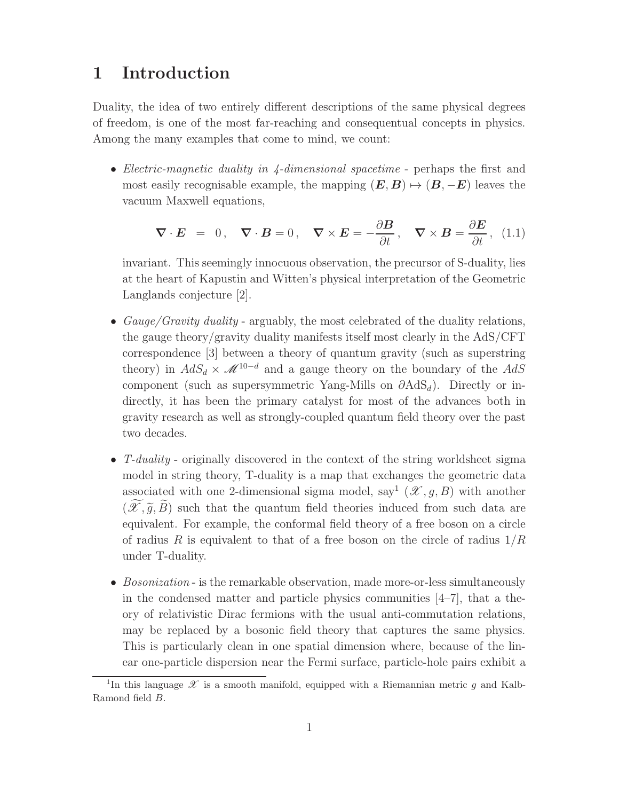### 1 Introduction

Duality, the idea of two entirely different descriptions of the same physical degrees of freedom, is one of the most far-reaching and consequentual concepts in physics. Among the many examples that come to mind, we count:

• Electric-magnetic duality in  $\chi$ -dimensional spacetime - perhaps the first and most easily recognisable example, the mapping  $(E, B) \mapsto (B, -E)$  leaves the vacuum Maxwell equations,

$$
\nabla \cdot \boldsymbol{E} = 0, \quad \nabla \cdot \boldsymbol{B} = 0, \quad \nabla \times \boldsymbol{E} = -\frac{\partial \boldsymbol{B}}{\partial t}, \quad \nabla \times \boldsymbol{B} = \frac{\partial \boldsymbol{E}}{\partial t}, \quad (1.1)
$$

invariant. This seemingly innocuous observation, the precursor of S-duality, lies at the heart of Kapustin and Witten's physical interpretation of the Geometric Langlands conjecture [2].

- Gauge/Gravity duality arguably, the most celebrated of the duality relations, the gauge theory/gravity duality manifests itself most clearly in the AdS/CFT correspondence [3] between a theory of quantum gravity (such as superstring theory) in  $AdS_d \times M^{10-d}$  and a gauge theory on the boundary of the  $AdS$ component (such as supersymmetric Yang-Mills on  $\partial \text{AdS}_d$ ). Directly or indirectly, it has been the primary catalyst for most of the advances both in gravity research as well as strongly-coupled quantum field theory over the past two decades.
- T-duality originally discovered in the context of the string worldsheet sigma model in string theory, T-duality is a map that exchanges the geometric data associated with one 2-dimensional sigma model, say<sup>1</sup>  $(\mathcal{X}, g, B)$  with another  $(\mathscr{X}, \tilde{g}, B)$  such that the quantum field theories induced from such data are equivalent. For example, the conformal field theory of a free boson on a circle of radius R is equivalent to that of a free boson on the circle of radius  $1/R$ under T-duality.
- Bosonization is the remarkable observation, made more-or-less simultaneously in the condensed matter and particle physics communities  $[4-7]$ , that a theory of relativistic Dirac fermions with the usual anti-commutation relations, may be replaced by a bosonic field theory that captures the same physics. This is particularly clean in one spatial dimension where, because of the linear one-particle dispersion near the Fermi surface, particle-hole pairs exhibit a

<sup>&</sup>lt;sup>1</sup>In this language  $\mathscr X$  is a smooth manifold, equipped with a Riemannian metric g and Kalb-Ramond field B.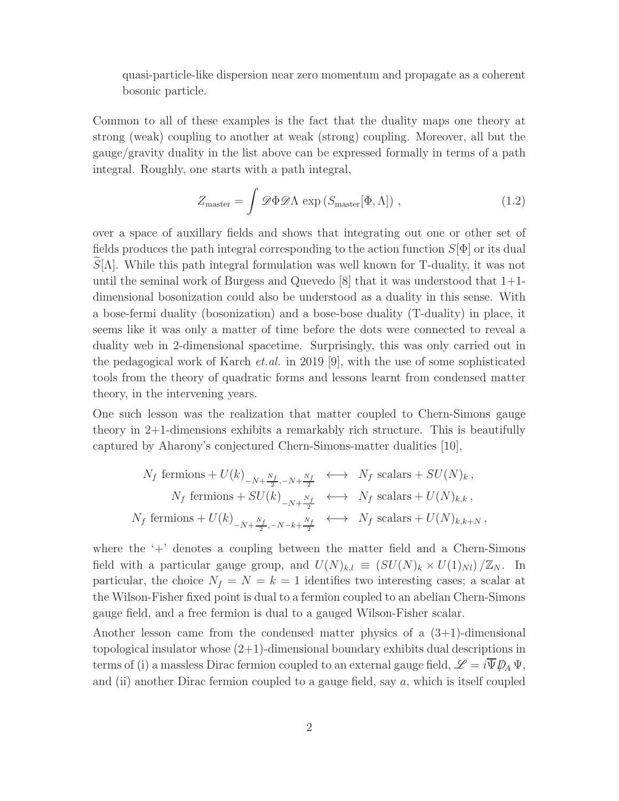quasi-particle-like dispersion near zero momentum and propagate as a coherent bosonic particle.

Common to all of these examples is the fact that the duality maps one theory at strong (weak) coupling to another at weak (strong) coupling. Moreover, all but the gauge/gravity duality in the list above can be expressed formally in terms of a path integral. Roughly, one starts with a path integral,

$$
Z_{\text{master}} = \int \mathcal{D}\Phi \mathcal{D}\Lambda \, \exp\left(S_{\text{master}}[\Phi,\Lambda]\right) \,, \tag{1.2}
$$

over a space of auxillary fields and shows that integrating out one or other set of fields produces the path integral corresponding to the action function  $S[\Phi]$  or its dual  $\widetilde{S}[\Lambda]$ . While this path integral formulation was well known for T-duality, it was not until the seminal work of Burgess and Quevedo  $[8]$  that it was understood that  $1+1$ dimensional bosonization could also be understood as a duality in this sense. With a bose-fermi duality (bosonization) and a bose-bose duality (T-duality) in place, it seems like it was only a matter of time before the dots were connected to reveal a duality web in 2-dimensional spacetime. Surprisingly, this was only carried out in the pedagogical work of Karch et.al. in 2019 [9], with the use of some sophisticated tools from the theory of quadratic forms and lessons learnt from condensed matter theory, in the intervening years.

One such lesson was the realization that matter coupled to Chern-Simons gauge theory in 2+1-dimensions exhibits a remarkably rich structure. This is beautifully captured by Aharony's conjectured Chern-Simons-matter dualities [10],

$$
N_f \text{ fermions} + U(k)_{-N+\frac{N_f}{2}, -N+\frac{N_f}{2}} \longleftrightarrow N_f \text{ scalars} + SU(N)_k ,
$$
  
\n
$$
N_f \text{ fermions} + SU(k)_{-N+\frac{N_f}{2}} \longleftrightarrow N_f \text{ scalars} + U(N)_{k,k} ,
$$
  
\n
$$
N_f \text{ fermions} + U(k)_{-N+\frac{N_f}{2}, -N-k+\frac{N_f}{2}} \longleftrightarrow N_f \text{ scalars} + U(N)_{k,k+N} ,
$$

where the  $+$  denotes a coupling between the matter field and a Chern-Simons field with a particular gauge group, and  $U(N)_{k,l} \equiv (SU(N)_k \times U(1)_{N l})/\mathbb{Z}_N$ . In particular, the choice  $N_f = N = k = 1$  identifies two interesting cases; a scalar at the Wilson-Fisher fixed point is dual to a fermion coupled to an abelian Chern-Simons gauge field, and a free fermion is dual to a gauged Wilson-Fisher scalar.

Another lesson came from the condensed matter physics of a  $(3+1)$ -dimensional topological insulator whose (2+1)-dimensional boundary exhibits dual descriptions in terms of (i) a massless Dirac fermion coupled to an external gauge field,  $\mathscr{L} = i \overline{\Psi} \mathscr{D}_A \Psi$ , and (ii) another Dirac fermion coupled to a gauge field, say  $a$ , which is itself coupled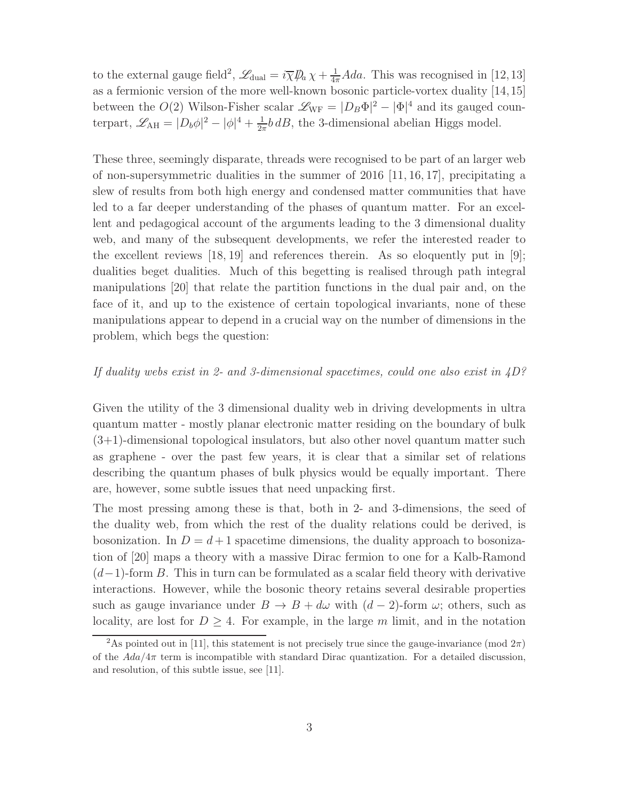to the external gauge field<sup>2</sup>,  $\mathscr{L}_{\text{dual}} = i\overline{\chi}\mathscr{P}_a\chi + \frac{1}{4\pi}Ada$ . This was recognised in [12,13] as a fermionic version of the more well-known bosonic particle-vortex duality [14,15] between the  $O(2)$  Wilson-Fisher scalar  $\mathscr{L}_{WF} = |D_B \Phi|^2 - |\Phi|^4$  and its gauged counterpart,  $\mathscr{L}_{AH} = |D_b \phi|^2 - |\phi|^4 + \frac{1}{2\pi}$  $\frac{1}{2\pi}b\,dB$ , the 3-dimensional abelian Higgs model.

These three, seemingly disparate, threads were recognised to be part of an larger web of non-supersymmetric dualities in the summer of 2016 [11, 16, 17], precipitating a slew of results from both high energy and condensed matter communities that have led to a far deeper understanding of the phases of quantum matter. For an excellent and pedagogical account of the arguments leading to the 3 dimensional duality web, and many of the subsequent developments, we refer the interested reader to the excellent reviews  $[18, 19]$  and references therein. As so eloquently put in  $[9]$ ; dualities beget dualities. Much of this begetting is realised through path integral manipulations [20] that relate the partition functions in the dual pair and, on the face of it, and up to the existence of certain topological invariants, none of these manipulations appear to depend in a crucial way on the number of dimensions in the problem, which begs the question:

#### If duality webs exist in 2- and 3-dimensional spacetimes, could one also exist in  $4D$ ?

Given the utility of the 3 dimensional duality web in driving developments in ultra quantum matter - mostly planar electronic matter residing on the boundary of bulk (3+1)-dimensional topological insulators, but also other novel quantum matter such as graphene - over the past few years, it is clear that a similar set of relations describing the quantum phases of bulk physics would be equally important. There are, however, some subtle issues that need unpacking first.

The most pressing among these is that, both in 2- and 3-dimensions, the seed of the duality web, from which the rest of the duality relations could be derived, is bosonization. In  $D = d + 1$  spacetime dimensions, the duality approach to bosonization of [20] maps a theory with a massive Dirac fermion to one for a Kalb-Ramond  $(d-1)$ -form B. This in turn can be formulated as a scalar field theory with derivative interactions. However, while the bosonic theory retains several desirable properties such as gauge invariance under  $B \to B + d\omega$  with  $(d-2)$ -form  $\omega$ ; others, such as locality, are lost for  $D \geq 4$ . For example, in the large m limit, and in the notation

<sup>&</sup>lt;sup>2</sup>As pointed out in [11], this statement is not precisely true since the gauge-invariance (mod  $2\pi$ ) of the  $Ada/4\pi$  term is incompatible with standard Dirac quantization. For a detailed discussion, and resolution, of this subtle issue, see [11].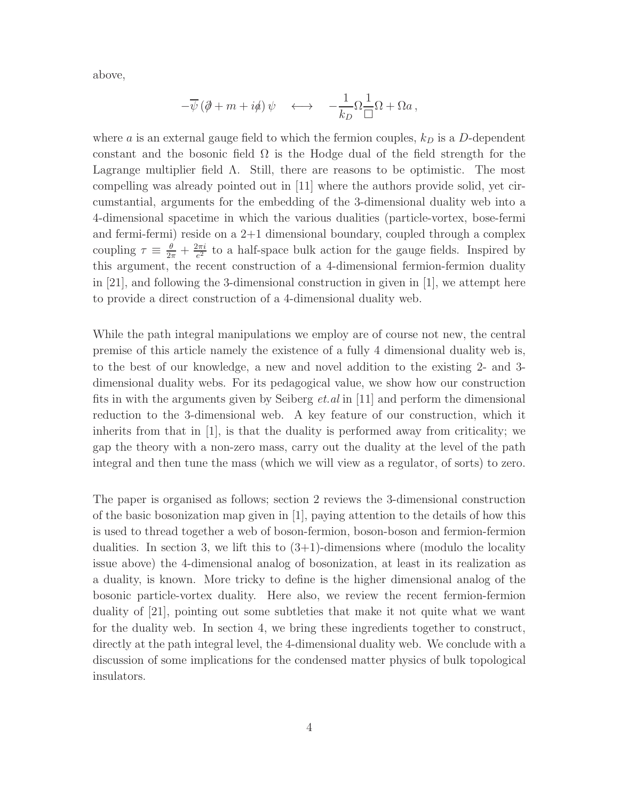above,

$$
-\overline{\psi}(\partial\!\!\!/\,\!+\,m+i\phi)\,\psi\quad\longleftrightarrow\quad -\frac{1}{k_D}\Omega\frac{1}{\square}\Omega+\Omega a\,,
$$

where a is an external gauge field to which the fermion couples,  $k_D$  is a D-dependent constant and the bosonic field  $\Omega$  is the Hodge dual of the field strength for the Lagrange multiplier field  $\Lambda$ . Still, there are reasons to be optimistic. The most compelling was already pointed out in [11] where the authors provide solid, yet circumstantial, arguments for the embedding of the 3-dimensional duality web into a 4-dimensional spacetime in which the various dualities (particle-vortex, bose-fermi and fermi-fermi) reside on a 2+1 dimensional boundary, coupled through a complex coupling  $\tau \equiv \frac{\theta}{2\pi} + \frac{2\pi i}{e^2}$  $\frac{2\pi i}{e^2}$  to a half-space bulk action for the gauge fields. Inspired by this argument, the recent construction of a 4-dimensional fermion-fermion duality in [21], and following the 3-dimensional construction in given in [1], we attempt here to provide a direct construction of a 4-dimensional duality web.

While the path integral manipulations we employ are of course not new, the central premise of this article namely the existence of a fully 4 dimensional duality web is, to the best of our knowledge, a new and novel addition to the existing 2- and 3 dimensional duality webs. For its pedagogical value, we show how our construction fits in with the arguments given by Seiberg et.al in [11] and perform the dimensional reduction to the 3-dimensional web. A key feature of our construction, which it inherits from that in [1], is that the duality is performed away from criticality; we gap the theory with a non-zero mass, carry out the duality at the level of the path integral and then tune the mass (which we will view as a regulator, of sorts) to zero.

The paper is organised as follows; section 2 reviews the 3-dimensional construction of the basic bosonization map given in [1], paying attention to the details of how this is used to thread together a web of boson-fermion, boson-boson and fermion-fermion dualities. In section 3, we lift this to  $(3+1)$ -dimensions where (modulo the locality issue above) the 4-dimensional analog of bosonization, at least in its realization as a duality, is known. More tricky to define is the higher dimensional analog of the bosonic particle-vortex duality. Here also, we review the recent fermion-fermion duality of [21], pointing out some subtleties that make it not quite what we want for the duality web. In section 4, we bring these ingredients together to construct, directly at the path integral level, the 4-dimensional duality web. We conclude with a discussion of some implications for the condensed matter physics of bulk topological insulators.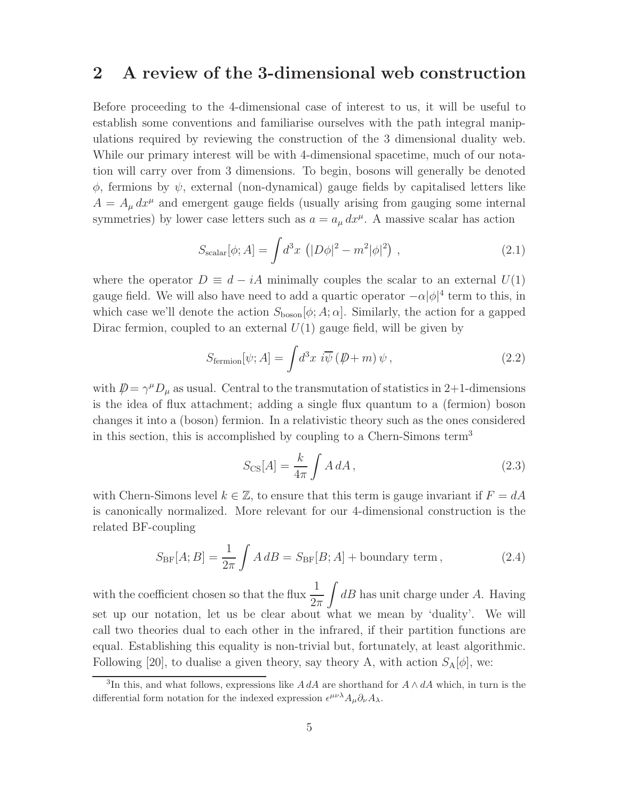### 2 A review of the 3-dimensional web construction

Before proceeding to the 4-dimensional case of interest to us, it will be useful to establish some conventions and familiarise ourselves with the path integral manipulations required by reviewing the construction of the 3 dimensional duality web. While our primary interest will be with 4-dimensional spacetime, much of our notation will carry over from 3 dimensions. To begin, bosons will generally be denoted  $\phi$ , fermions by  $\psi$ , external (non-dynamical) gauge fields by capitalised letters like  $A = A_{\mu} dx^{\mu}$  and emergent gauge fields (usually arising from gauging some internal symmetries) by lower case letters such as  $a = a_{\mu} dx^{\mu}$ . A massive scalar has action

$$
S_{\text{scalar}}[\phi; A] = \int d^3x \, (|D\phi|^2 - m^2|\phi|^2) \,, \tag{2.1}
$$

where the operator  $D \equiv d - iA$  minimally couples the scalar to an external  $U(1)$ gauge field. We will also have need to add a quartic operator  $-\alpha |\phi|^4$  term to this, in which case we'll denote the action  $S_{\text{boson}}[\phi; A; \alpha]$ . Similarly, the action for a gapped Dirac fermion, coupled to an external  $U(1)$  gauge field, will be given by

$$
S_{\text{fermion}}[\psi; A] = \int d^3x \, i\overline{\psi} \left(\rlap{\,/}D + m\right)\psi \,, \tag{2.2}
$$

with  $\mathcal{D} = \gamma^{\mu} D_{\mu}$  as usual. Central to the transmutation of statistics in 2+1-dimensions is the idea of flux attachment; adding a single flux quantum to a (fermion) boson changes it into a (boson) fermion. In a relativistic theory such as the ones considered in this section, this is accomplished by coupling to a Chern-Simons term<sup>3</sup>

$$
S_{\rm CS}[A] = \frac{k}{4\pi} \int A \, dA \,,\tag{2.3}
$$

with Chern-Simons level  $k \in \mathbb{Z}$ , to ensure that this term is gauge invariant if  $F = dA$ is canonically normalized. More relevant for our 4-dimensional construction is the related BF-coupling

$$
S_{\rm BF}[A;B] = \frac{1}{2\pi} \int A \, dB = S_{\rm BF}[B;A] + \text{boundary term},\tag{2.4}
$$

with the coefficient chosen so that the flux  $\frac{1}{2}$  $2\pi$ Z  $dB$  has unit charge under  $A$ . Having set up our notation, let us be clear about what we mean by 'duality'. We will call two theories dual to each other in the infrared, if their partition functions are equal. Establishing this equality is non-trivial but, fortunately, at least algorithmic. Following [20], to dualise a given theory, say theory A, with action  $S_A[\phi]$ , we:

<sup>&</sup>lt;sup>3</sup>In this, and what follows, expressions like A dA are shorthand for  $A \wedge dA$  which, in turn is the differential form notation for the indexed expression  $\epsilon^{\mu\nu\lambda}A_{\mu}\partial_{\nu}A_{\lambda}$ .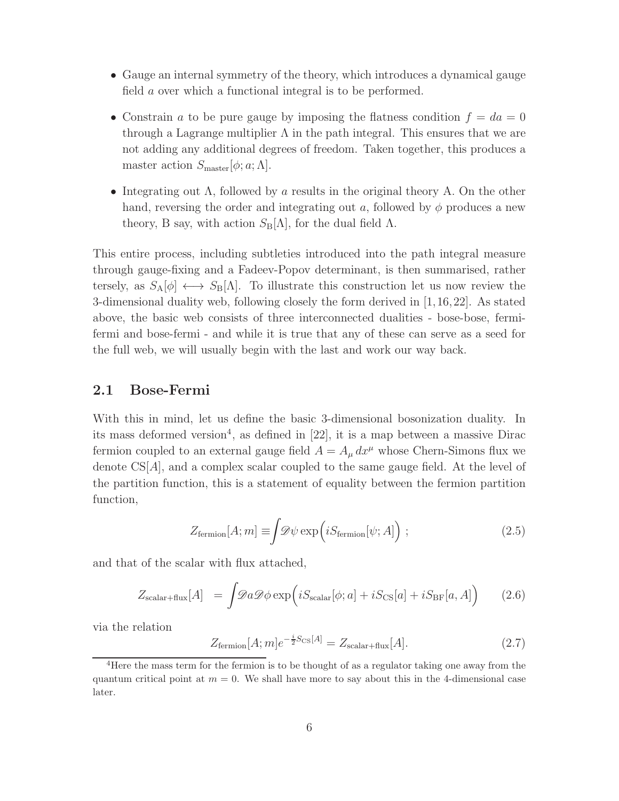- Gauge an internal symmetry of the theory, which introduces a dynamical gauge field a over which a functional integral is to be performed.
- Constrain a to be pure gauge by imposing the flatness condition  $f = da = 0$ through a Lagrange multiplier  $\Lambda$  in the path integral. This ensures that we are not adding any additional degrees of freedom. Taken together, this produces a master action  $S_{\text{master}}[\phi; a; \Lambda]$ .
- Integrating out  $\Lambda$ , followed by a results in the original theory A. On the other hand, reversing the order and integrating out a, followed by  $\phi$  produces a new theory, B say, with action  $S_B[\Lambda]$ , for the dual field  $\Lambda$ .

This entire process, including subtleties introduced into the path integral measure through gauge-fixing and a Fadeev-Popov determinant, is then summarised, rather tersely, as  $S_A[\phi] \longleftrightarrow S_B[\Lambda]$ . To illustrate this construction let us now review the 3-dimensional duality web, following closely the form derived in [1,16,22]. As stated above, the basic web consists of three interconnected dualities - bose-bose, fermifermi and bose-fermi - and while it is true that any of these can serve as a seed for the full web, we will usually begin with the last and work our way back.

#### 2.1 Bose-Fermi

With this in mind, let us define the basic 3-dimensional bosonization duality. In its mass deformed version<sup>4</sup>, as defined in  $[22]$ , it is a map between a massive Dirac fermion coupled to an external gauge field  $A = A_{\mu} dx^{\mu}$  whose Chern-Simons flux we denote  $\text{CS}[A]$ , and a complex scalar coupled to the same gauge field. At the level of the partition function, this is a statement of equality between the fermion partition function,

$$
Z_{\text{fermion}}[A; m] \equiv \int \mathscr{D}\psi \exp\left(iS_{\text{fermion}}[\psi; A]\right); \qquad (2.5)
$$

and that of the scalar with flux attached,

$$
Z_{\text{scalar+flux}}[A] = \int \mathcal{D}a \mathcal{D}\phi \exp\left(iS_{\text{scalar}}[\phi; a] + iS_{\text{CS}}[a] + iS_{\text{BF}}[a, A]\right) \tag{2.6}
$$

via the relation

$$
Z_{\text{fermion}}[A;m]e^{-\frac{i}{2}S_{\text{CS}}[A]} = Z_{\text{scalar}+\text{flux}}[A].\tag{2.7}
$$

<sup>4</sup>Here the mass term for the fermion is to be thought of as a regulator taking one away from the quantum critical point at  $m = 0$ . We shall have more to say about this in the 4-dimensional case later.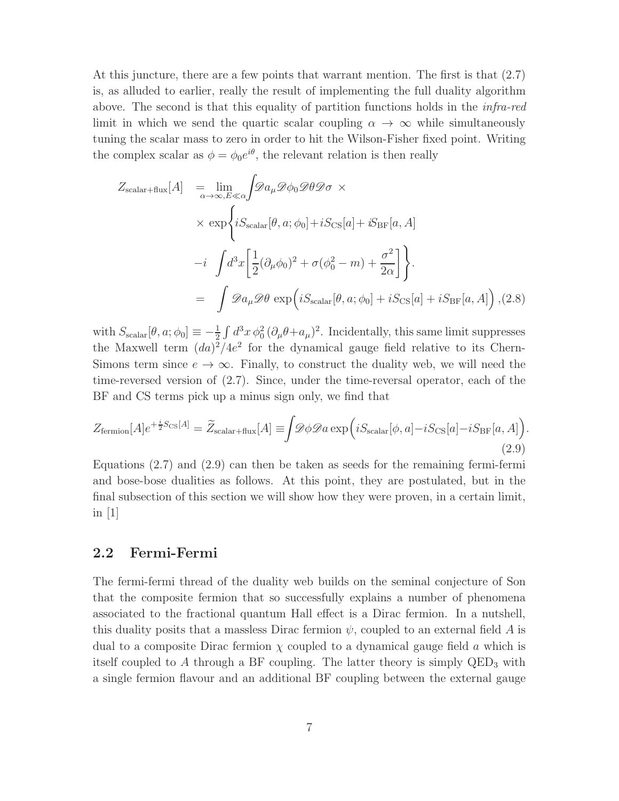At this juncture, there are a few points that warrant mention. The first is that (2.7) is, as alluded to earlier, really the result of implementing the full duality algorithm above. The second is that this equality of partition functions holds in the infra-red limit in which we send the quartic scalar coupling  $\alpha \to \infty$  while simultaneously tuning the scalar mass to zero in order to hit the Wilson-Fisher fixed point. Writing the complex scalar as  $\phi = \phi_0 e^{i\theta}$ , the relevant relation is then really

$$
Z_{\text{scalar+flux}}[A] = \lim_{\alpha \to \infty, E \ll \alpha} \int \mathcal{D}a_{\mu} \mathcal{D}\phi_0 \mathcal{D}\theta \mathcal{D}\sigma \times
$$
  
 
$$
\times \exp \left\{ iS_{\text{scalar}}[\theta, a; \phi_0] + iS_{\text{CS}}[a] + iS_{\text{BF}}[a, A] -i \int d^3x \left[ \frac{1}{2} (\partial_{\mu} \phi_0)^2 + \sigma (\phi_0^2 - m) + \frac{\sigma^2}{2\alpha} \right] \right\}.
$$
  
= 
$$
\int \mathcal{D}a_{\mu} \mathcal{D}\theta \exp \left( iS_{\text{scalar}}[\theta, a; \phi_0] + iS_{\text{CS}}[a] + iS_{\text{BF}}[a, A] \right), (2.8)
$$

with  $S_{\text{scalar}}[\theta, a; \phi_0] \equiv -\frac{1}{2} \int d^3x \, \phi_0^2 (\partial_\mu \theta + a_\mu)^2$ . Incidentally, this same limit suppresses the Maxwell term  $(da)^2/4e^2$  for the dynamical gauge field relative to its Chern-Simons term since  $e \to \infty$ . Finally, to construct the duality web, we will need the time-reversed version of (2.7). Since, under the time-reversal operator, each of the BF and CS terms pick up a minus sign only, we find that

$$
Z_{\text{fermion}}[A]e^{+\frac{i}{2}S_{\text{CS}}[A]} = \widetilde{Z}_{\text{scalar}+\text{flux}}[A] \equiv \int \mathscr{D}\phi \mathscr{D}a \exp\left(iS_{\text{scalar}}[\phi,a] - iS_{\text{CS}}[a] - iS_{\text{BF}}[a,A]\right).
$$
\n(2.9)

Equations (2.7) and (2.9) can then be taken as seeds for the remaining fermi-fermi and bose-bose dualities as follows. At this point, they are postulated, but in the final subsection of this section we will show how they were proven, in a certain limit, in [1]

### 2.2 Fermi-Fermi

The fermi-fermi thread of the duality web builds on the seminal conjecture of Son that the composite fermion that so successfully explains a number of phenomena associated to the fractional quantum Hall effect is a Dirac fermion. In a nutshell, this duality posits that a massless Dirac fermion  $\psi$ , coupled to an external field A is dual to a composite Dirac fermion  $\chi$  coupled to a dynamical gauge field a which is itself coupled to A through a BF coupling. The latter theory is simply  $QED<sub>3</sub>$  with a single fermion flavour and an additional BF coupling between the external gauge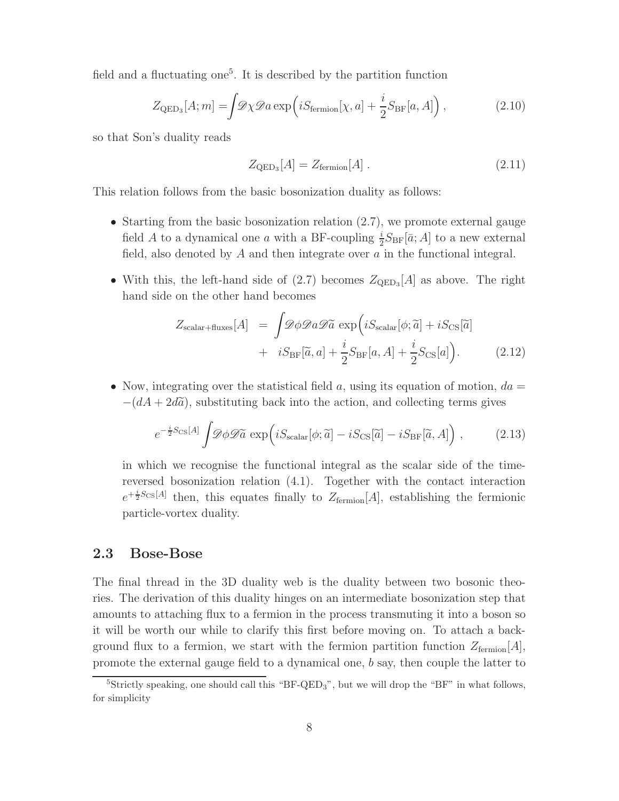field and a fluctuating one<sup>5</sup>. It is described by the partition function

$$
Z_{\text{QED}_3}[A; m] = \int \mathscr{D}\chi \mathscr{D}a \exp\left(iS_{\text{fermion}}[\chi, a] + \frac{i}{2}S_{\text{BF}}[a, A]\right),\tag{2.10}
$$

so that Son's duality reads

$$
Z_{\text{QED}_3}[A] = Z_{\text{fermion}}[A]. \tag{2.11}
$$

This relation follows from the basic bosonization duality as follows:

- Starting from the basic bosonization relation  $(2.7)$ , we promote external gauge field A to a dynamical one a with a BF-coupling  $\frac{i}{2}S_{\text{BF}}[\bar{a};A]$  to a new external field, also denoted by  $A$  and then integrate over  $a$  in the functional integral.
- With this, the left-hand side of  $(2.7)$  becomes  $Z_{\text{QED}_3}[A]$  as above. The right hand side on the other hand becomes

$$
Z_{\text{scalar+fluxes}}[A] = \int \mathcal{D}\phi \mathcal{D}a \mathcal{D}\tilde{a} \exp\left(iS_{\text{scalar}}[\phi; \tilde{a}] + iS_{\text{CS}}[\tilde{a}] + iS_{\text{CS}}[\tilde{a}] + iS_{\text{BF}}[\tilde{a}, a] + \frac{i}{2}S_{\text{BF}}[a, A] + \frac{i}{2}S_{\text{CS}}[a]\right).
$$
 (2.12)

• Now, integrating over the statistical field a, using its equation of motion,  $da =$  $-(dA + 2d\tilde{a})$ , substituting back into the action, and collecting terms gives

$$
e^{-\frac{i}{2}S_{\text{CS}}[A]}\int \mathscr{D}\phi \mathscr{D}\tilde{a} \exp\left(iS_{\text{scalar}}[\phi;\tilde{a}] - iS_{\text{CS}}[\tilde{a}] - iS_{\text{BF}}[\tilde{a},A]\right),\tag{2.13}
$$

in which we recognise the functional integral as the scalar side of the timereversed bosonization relation (4.1). Together with the contact interaction  $e^{+\frac{i}{2}S_{\text{CS}}[A]}$  then, this equates finally to  $Z_{\text{fermion}}[A]$ , establishing the fermionic particle-vortex duality.

#### 2.3 Bose-Bose

The final thread in the 3D duality web is the duality between two bosonic theories. The derivation of this duality hinges on an intermediate bosonization step that amounts to attaching flux to a fermion in the process transmuting it into a boson so it will be worth our while to clarify this first before moving on. To attach a background flux to a fermion, we start with the fermion partition function  $Z_{\text{fermion}}[A]$ , promote the external gauge field to a dynamical one, b say, then couple the latter to

<sup>&</sup>lt;sup>5</sup>Strictly speaking, one should call this "BF-QED<sub>3</sub>", but we will drop the "BF" in what follows, for simplicity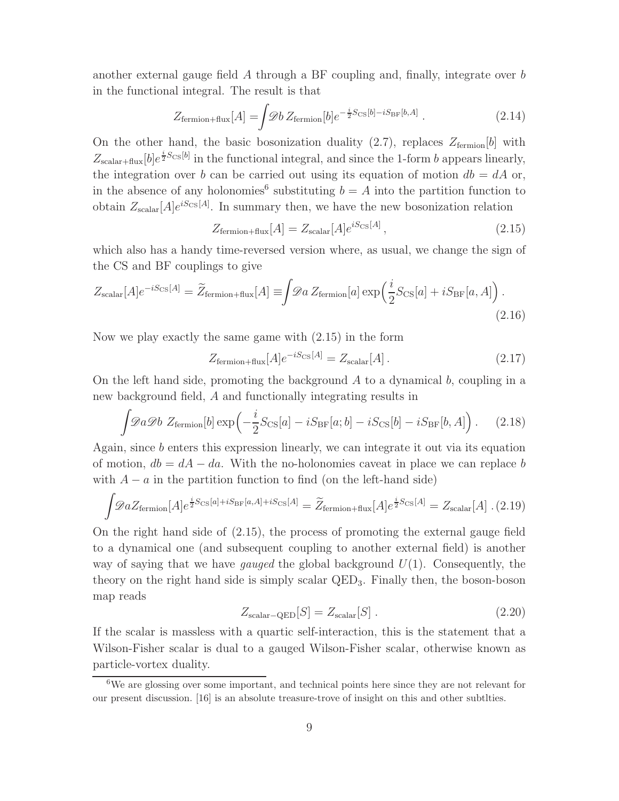another external gauge field A through a BF coupling and, finally, integrate over b in the functional integral. The result is that

$$
Z_{\text{fermion+flux}}[A] = \int \mathcal{D}b \, Z_{\text{fermion}}[b] e^{-\frac{i}{2}S_{\text{CS}}[b] - iS_{\text{BF}}[b,A]} \,. \tag{2.14}
$$

On the other hand, the basic bosonization duality  $(2.7)$ , replaces  $Z_{\text{fermion}}[b]$  with  $Z_{\text{scalar}+\text{flux}}[b]e^{\frac{i}{2}S_{\text{CS}}[b]}$  in the functional integral, and since the 1-form b appears linearly, the integration over b can be carried out using its equation of motion  $db = dA$  or, in the absence of any holonomies<sup>6</sup> substituting  $b = A$  into the partition function to obtain  $Z_{\text{scalar}}[A]e^{iS_{\text{CS}}[A]}$ . In summary then, we have the new bosonization relation

$$
Z_{\text{fermion+flux}}[A] = Z_{\text{scalar}}[A]e^{iS_{\text{CS}}[A]}, \qquad (2.15)
$$

which also has a handy time-reversed version where, as usual, we change the sign of the CS and BF couplings to give

$$
Z_{\text{scalar}}[A]e^{-iS_{\text{CS}}[A]} = \widetilde{Z}_{\text{fermion} + \text{flux}}[A] \equiv \int \mathcal{D}a \, Z_{\text{fermion}}[a] \exp\left(\frac{i}{2}S_{\text{CS}}[a] + iS_{\text{BF}}[a, A]\right). \tag{2.16}
$$

Now we play exactly the same game with (2.15) in the form

$$
Z_{\text{fermion+flux}}[A]e^{-iS_{\text{CS}}[A]} = Z_{\text{scalar}}[A]. \tag{2.17}
$$

On the left hand side, promoting the background  $A$  to a dynamical  $b$ , coupling in a new background field, A and functionally integrating results in

$$
\int \mathscr{D}a \mathscr{D}b \ Z_{\text{fermion}}[b] \exp\left(-\frac{i}{2}S_{\text{CS}}[a] - iS_{\text{BF}}[a;b] - iS_{\text{CS}}[b] - iS_{\text{BF}}[b,A]\right). \tag{2.18}
$$

Again, since b enters this expression linearly, we can integrate it out via its equation of motion,  $db = dA - da$ . With the no-holonomies caveat in place we can replace b with  $A - a$  in the partition function to find (on the left-hand side)

$$
\int \mathscr{D}aZ_{\text{fermion}}[A]e^{\frac{i}{2}S_{\text{CS}}[a]+iS_{\text{BF}}[a,A]+iS_{\text{CS}}[A]} = \widetilde{Z}_{\text{fermion}+\text{flux}}[A]e^{\frac{i}{2}S_{\text{CS}}[A]} = Z_{\text{scalar}}[A] \tag{2.19}
$$

On the right hand side of (2.15), the process of promoting the external gauge field to a dynamical one (and subsequent coupling to another external field) is another way of saying that we have *gauged* the global background  $U(1)$ . Consequently, the theory on the right hand side is simply scalar  $QED<sub>3</sub>$ . Finally then, the boson-boson map reads

$$
Z_{\text{scalar}-\text{QED}}[S] = Z_{\text{scalar}}[S] \ . \tag{2.20}
$$

If the scalar is massless with a quartic self-interaction, this is the statement that a Wilson-Fisher scalar is dual to a gauged Wilson-Fisher scalar, otherwise known as particle-vortex duality.

<sup>6</sup>We are glossing over some important, and technical points here since they are not relevant for our present discussion. [16] is an absolute treasure-trove of insight on this and other subtlties.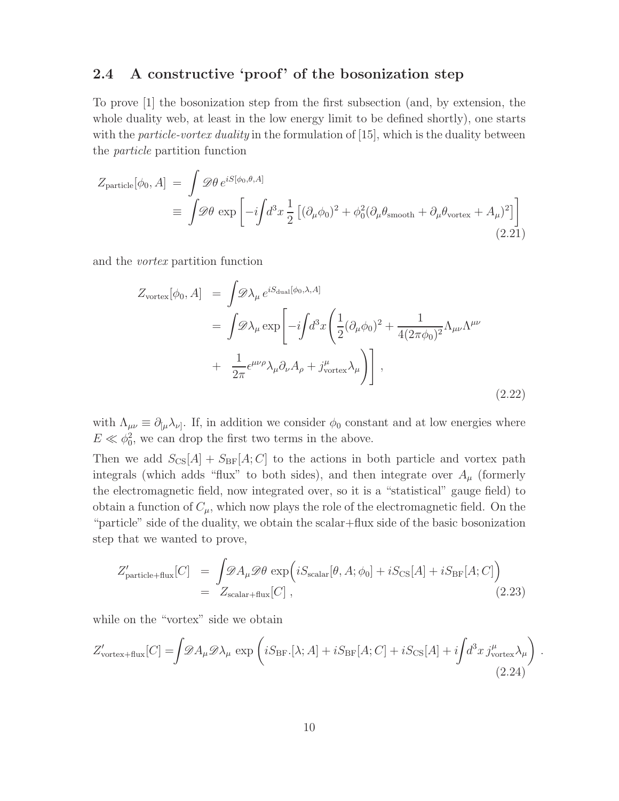### 2.4 A constructive 'proof' of the bosonization step

To prove [1] the bosonization step from the first subsection (and, by extension, the whole duality web, at least in the low energy limit to be defined shortly), one starts with the *particle-vortex duality* in the formulation of  $[15]$ , which is the duality between the particle partition function

$$
Z_{\text{particle}}[\phi_0, A] = \int \mathcal{D}\theta \, e^{iS[\phi_0, \theta, A]}
$$
  

$$
\equiv \int \mathcal{D}\theta \, \exp\left[-i\int d^3x \, \frac{1}{2} \left[ (\partial_\mu \phi_0)^2 + \phi_0^2 (\partial_\mu \theta_{\text{smooth}} + \partial_\mu \theta_{\text{vortex}} + A_\mu)^2 \right] \right]
$$
(2.21)

and the vortex partition function

$$
Z_{\text{vortex}}[\phi_0, A] = \int \mathcal{D}\lambda_{\mu} e^{iS_{\text{dual}}[\phi_0, \lambda, A]}
$$
  
= 
$$
\int \mathcal{D}\lambda_{\mu} \exp\left[-i\int d^3x \left(\frac{1}{2}(\partial_{\mu}\phi_0)^2 + \frac{1}{4(2\pi\phi_0)^2} \Lambda_{\mu\nu} \Lambda^{\mu\nu}\right) + \frac{1}{2\pi} \epsilon^{\mu\nu\rho} \lambda_{\mu} \partial_{\nu} A_{\rho} + j_{\text{vortex}}^{\mu} \lambda_{\mu}\right)\right],
$$
  
(2.22)

with  $\Lambda_{\mu\nu} \equiv \partial_{[\mu} \lambda_{\nu]}$ . If, in addition we consider  $\phi_0$  constant and at low energies where  $E \ll \phi_0^2$ , we can drop the first two terms in the above.

Then we add  $S_{\text{CS}}[A] + S_{\text{BF}}[A;C]$  to the actions in both particle and vortex path integrals (which adds "flux" to both sides), and then integrate over  $A_\mu$  (formerly the electromagnetic field, now integrated over, so it is a "statistical" gauge field) to obtain a function of  $C_{\mu}$ , which now plays the role of the electromagnetic field. On the "particle" side of the duality, we obtain the scalar+flux side of the basic bosonization step that we wanted to prove,

$$
Z'_{\text{particle+flux}}[C] = \int \mathcal{D}A_{\mu} \mathcal{D}\theta \exp\left(iS_{\text{scalar}}[\theta, A; \phi_0] + iS_{\text{CS}}[A] + iS_{\text{BF}}[A; C]\right)
$$
  
= 
$$
Z_{\text{scalar+flux}}[C], \qquad (2.23)
$$

while on the "vortex" side we obtain

$$
Z'_{\text{vortex+flux}}[C] = \int \mathcal{D}A_{\mu} \mathcal{D}\lambda_{\mu} \exp\left(iS_{\text{BF}}.[\lambda;A] + iS_{\text{BF}}[A;C] + iS_{\text{CS}}[A] + i\int d^{3}x \, j_{\text{vortex}}^{\mu} \lambda_{\mu}\right)
$$
\n(2.24)

.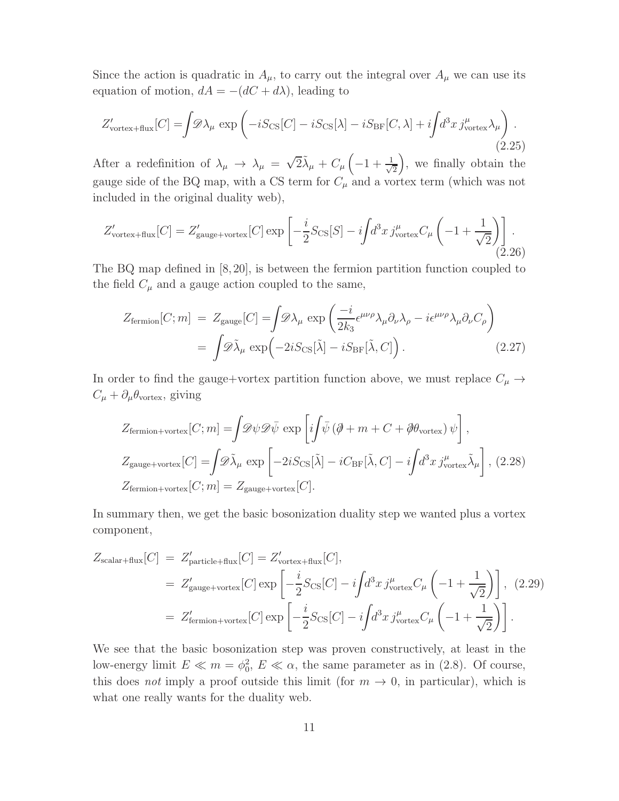Since the action is quadratic in  $A_{\mu}$ , to carry out the integral over  $A_{\mu}$  we can use its equation of motion,  $dA = -(dC + d\lambda)$ , leading to

$$
Z'_{\text{vortex+flux}}[C] = \int \mathscr{D}\lambda_{\mu} \exp\left(-iS_{\text{CS}}[C] - iS_{\text{CS}}[\lambda] - iS_{\text{BF}}[C,\lambda] + i\int d^{3}x \, j_{\text{vortex}}^{\mu} \lambda_{\mu}\right). \tag{2.25}
$$

After a redefinition of  $\lambda_{\mu} \rightarrow \lambda_{\mu} = \sqrt{2} \tilde{\lambda}_{\mu} + C_{\mu} \left( -1 + \frac{1}{\sqrt{2}} \right)$ 2 , we finally obtain the gauge side of the BQ map, with a CS term for  $C_{\mu}$  and a vortex term (which was not included in the original duality web),

$$
Z'_{\text{vortex+flux}}[C] = Z'_{\text{gauge+vortex}}[C] \exp\left[-\frac{i}{2}S_{\text{CS}}[S] - i\int d^3x \, j^{\mu}_{\text{vortex}} C_{\mu} \left(-1 + \frac{1}{\sqrt{2}}\right)\right].\tag{2.26}
$$

The BQ map defined in [8,20], is between the fermion partition function coupled to the field  $C_{\mu}$  and a gauge action coupled to the same,

$$
Z_{\text{fermion}}[C;m] = Z_{\text{gauge}}[C] = \int \mathcal{D}\lambda_{\mu} \exp\left(\frac{-i}{2k_3} \epsilon^{\mu\nu\rho} \lambda_{\mu} \partial_{\nu} \lambda_{\rho} - i \epsilon^{\mu\nu\rho} \lambda_{\mu} \partial_{\nu} C_{\rho}\right)
$$

$$
= \int \mathcal{D}\tilde{\lambda}_{\mu} \exp\left(-2iS_{\text{CS}}[\tilde{\lambda}] - iS_{\text{BF}}[\tilde{\lambda}, C]\right). \tag{2.27}
$$

In order to find the gauge+vortex partition function above, we must replace  $C_\mu \rightarrow$  $C_{\mu} + \partial_{\mu} \theta_{\text{vortex}}$ , giving

$$
Z_{\text{fermion+vortex}}[C;m] = \int \mathcal{D}\psi \mathcal{D}\bar{\psi} \exp\left[i\int \bar{\psi} \left(\partial + m + C + \partial \theta_{\text{vortex}}\right) \psi\right],
$$
  
\n
$$
Z_{\text{gauge+vortex}}[C] = \int \mathcal{D}\tilde{\lambda}_{\mu} \exp\left[-2iS_{\text{CS}}[\tilde{\lambda}] - iC_{\text{BF}}[\tilde{\lambda}, C] - i\int d^{3}x \, j_{\text{vortex}}^{\mu} \tilde{\lambda}_{\mu}\right],
$$
\n(2.28)  
\n
$$
Z_{\text{fermion+vortex}}[C;m] = Z_{\text{gauge+vortex}}[C].
$$

In summary then, we get the basic bosonization duality step we wanted plus a vortex component,

$$
Z_{\text{scalar+flux}}[C] = Z'_{\text{particle+flux}}[C] = Z'_{\text{vortex+flux}}[C],
$$
  
\n
$$
= Z'_{\text{gauge+vortex}}[C] \exp\left[-\frac{i}{2}S_{\text{CS}}[C] - i\int d^3x \, j''_{\text{vortex}} C_{\mu} \left(-1 + \frac{1}{\sqrt{2}}\right)\right], \tag{2.29}
$$
  
\n
$$
= Z'_{\text{fermion+vortex}}[C] \exp\left[-\frac{i}{2}S_{\text{CS}}[C] - i\int d^3x \, j''_{\text{vortex}} C_{\mu} \left(-1 + \frac{1}{\sqrt{2}}\right)\right].
$$

We see that the basic bosonization step was proven constructively, at least in the low-energy limit  $E \ll m = \phi_0^2$ ,  $E \ll \alpha$ , the same parameter as in (2.8). Of course, this does not imply a proof outside this limit (for  $m \to 0$ , in particular), which is what one really wants for the duality web.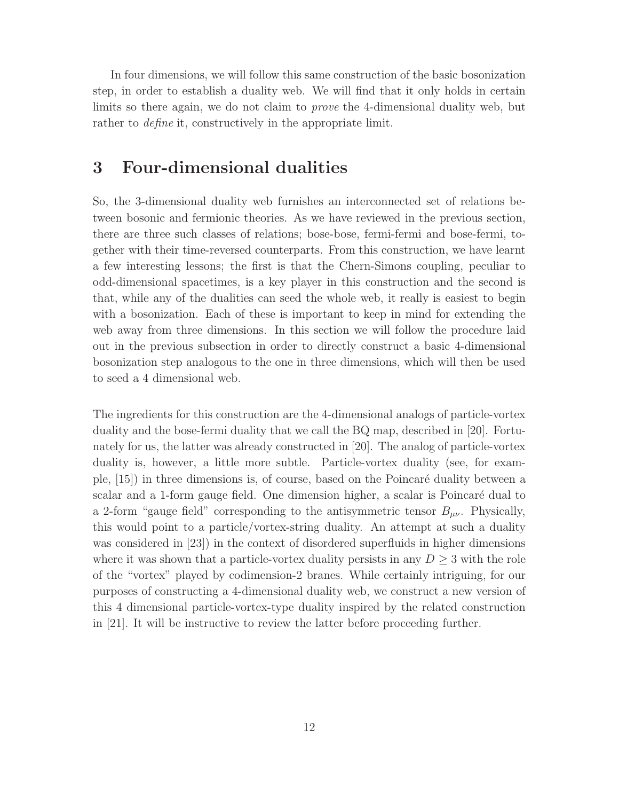In four dimensions, we will follow this same construction of the basic bosonization step, in order to establish a duality web. We will find that it only holds in certain limits so there again, we do not claim to prove the 4-dimensional duality web, but rather to *define* it, constructively in the appropriate limit.

## 3 Four-dimensional dualities

So, the 3-dimensional duality web furnishes an interconnected set of relations between bosonic and fermionic theories. As we have reviewed in the previous section, there are three such classes of relations; bose-bose, fermi-fermi and bose-fermi, together with their time-reversed counterparts. From this construction, we have learnt a few interesting lessons; the first is that the Chern-Simons coupling, peculiar to odd-dimensional spacetimes, is a key player in this construction and the second is that, while any of the dualities can seed the whole web, it really is easiest to begin with a bosonization. Each of these is important to keep in mind for extending the web away from three dimensions. In this section we will follow the procedure laid out in the previous subsection in order to directly construct a basic 4-dimensional bosonization step analogous to the one in three dimensions, which will then be used to seed a 4 dimensional web.

The ingredients for this construction are the 4-dimensional analogs of particle-vortex duality and the bose-fermi duality that we call the BQ map, described in [20]. Fortunately for us, the latter was already constructed in [20]. The analog of particle-vortex duality is, however, a little more subtle. Particle-vortex duality (see, for example,  $[15]$ ) in three dimensions is, of course, based on the Poincaré duality between a scalar and a 1-form gauge field. One dimension higher, a scalar is Poincaré dual to a 2-form "gauge field" corresponding to the antisymmetric tensor  $B_{\mu\nu}$ . Physically, this would point to a particle/vortex-string duality. An attempt at such a duality was considered in [23]) in the context of disordered superfluids in higher dimensions where it was shown that a particle-vortex duality persists in any  $D \geq 3$  with the role of the "vortex" played by codimension-2 branes. While certainly intriguing, for our purposes of constructing a 4-dimensional duality web, we construct a new version of this 4 dimensional particle-vortex-type duality inspired by the related construction in [21]. It will be instructive to review the latter before proceeding further.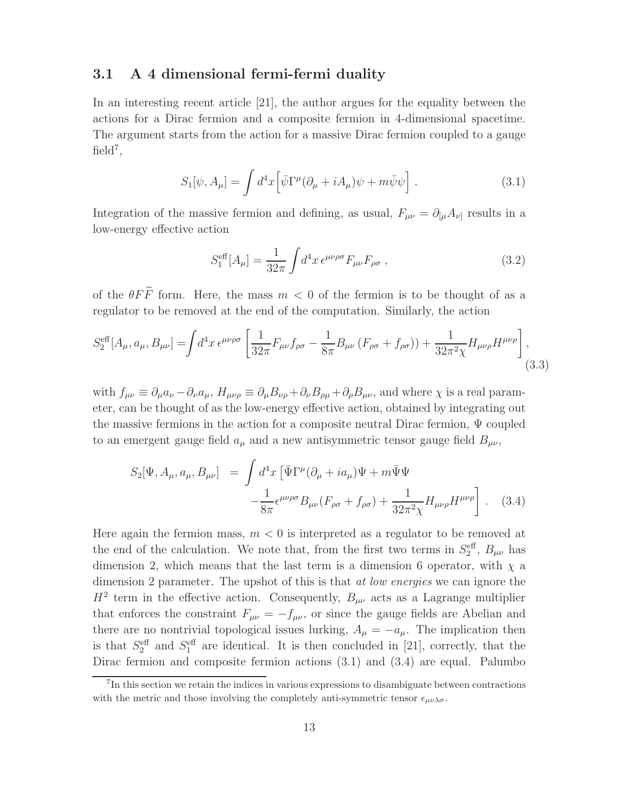### 3.1 A 4 dimensional fermi-fermi duality

In an interesting recent article [21], the author argues for the equality between the actions for a Dirac fermion and a composite fermion in 4-dimensional spacetime. The argument starts from the action for a massive Dirac fermion coupled to a gauge  $field<sup>7</sup>$ ,

$$
S_1[\psi, A_\mu] = \int d^4x \left[ \bar{\psi} \Gamma^\mu (\partial_\mu + i A_\mu) \psi + m \bar{\psi} \psi \right]. \tag{3.1}
$$

Integration of the massive fermion and defining, as usual,  $F_{\mu\nu} = \partial_{[\mu}A_{\nu]}$  results in a low-energy effective action

$$
S_1^{\text{eff}}[A_\mu] = \frac{1}{32\pi} \int d^4x \,\epsilon^{\mu\nu\rho\sigma} F_{\mu\nu} F_{\rho\sigma} \,, \tag{3.2}
$$

of the  $\theta F\widetilde{F}$  form. Here, the mass  $m < 0$  of the fermion is to be thought of as a regulator to be removed at the end of the computation. Similarly, the action

$$
S_2^{\text{eff}}[A_{\mu}, a_{\mu}, B_{\mu\nu}] = \int d^4x \,\epsilon^{\mu\nu\rho\sigma} \left[ \frac{1}{32\pi} F_{\mu\nu} f_{\rho\sigma} - \frac{1}{8\pi} B_{\mu\nu} \left( F_{\rho\sigma} + f_{\rho\sigma} \right) \right] + \frac{1}{32\pi^2 \chi} H_{\mu\nu\rho} H^{\mu\nu\rho} \right],\tag{3.3}
$$

with  $f_{\mu\nu} \equiv \partial_{\mu}a_{\nu} - \partial_{\nu}a_{\mu}$ ,  $H_{\mu\nu\rho} \equiv \partial_{\mu}B_{\nu\rho} + \partial_{\nu}B_{\rho\mu} + \partial_{\rho}B_{\mu\nu}$ , and where  $\chi$  is a real parameter, can be thought of as the low-energy effective action, obtained by integrating out the massive fermions in the action for a composite neutral Dirac fermion, Ψ coupled to an emergent gauge field  $a_{\mu}$  and a new antisymmetric tensor gauge field  $B_{\mu\nu}$ ,

$$
S_2[\Psi, A_\mu, a_\mu, B_{\mu\nu}] = \int d^4x \left[ \bar{\Psi} \Gamma^\mu (\partial_\mu + i a_\mu) \Psi + m \bar{\Psi} \Psi \right.-\frac{1}{8\pi} \epsilon^{\mu\nu\rho\sigma} B_{\mu\nu} (F_{\rho\sigma} + f_{\rho\sigma}) + \frac{1}{32\pi^2 \chi} H_{\mu\nu\rho} H^{\mu\nu\rho} \right. . \tag{3.4}
$$

Here again the fermion mass,  $m < 0$  is interpreted as a regulator to be removed at the end of the calculation. We note that, from the first two terms in  $S_2^{\text{eff}}$ ,  $B_{\mu\nu}$  has dimension 2, which means that the last term is a dimension 6 operator, with  $\chi$  a dimension 2 parameter. The upshot of this is that *at low energies* we can ignore the  $H^2$  term in the effective action. Consequently,  $B_{\mu\nu}$  acts as a Lagrange multiplier that enforces the constraint  $F_{\mu\nu} = -f_{\mu\nu}$ , or since the gauge fields are Abelian and there are no nontrivial topological issues lurking,  $A_{\mu} = -a_{\mu}$ . The implication then is that  $S_2^{\text{eff}}$  and  $S_1^{\text{eff}}$  are identical. It is then concluded in [21], correctly, that the Dirac fermion and composite fermion actions (3.1) and (3.4) are equal. Palumbo

<sup>7</sup> In this section we retain the indices in various expressions to disambiguate between contractions with the metric and those involving the completely anti-symmetric tensor  $\epsilon_{\mu\nu\lambda\sigma}$ .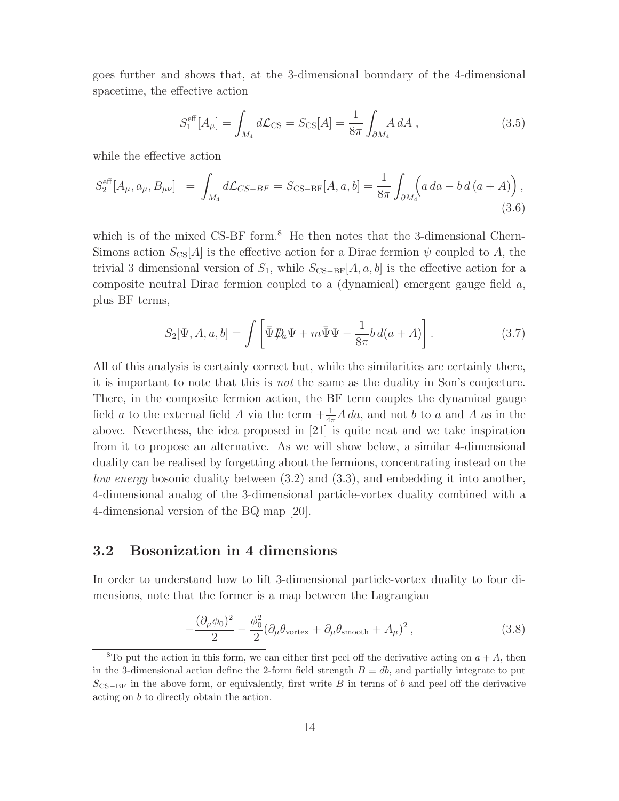goes further and shows that, at the 3-dimensional boundary of the 4-dimensional spacetime, the effective action

$$
S_1^{\text{eff}}[A_\mu] = \int_{M_4} d\mathcal{L}_{\text{CS}} = S_{\text{CS}}[A] = \frac{1}{8\pi} \int_{\partial M_4} A \, dA \,, \tag{3.5}
$$

while the effective action

$$
S_2^{\text{eff}}[A_{\mu}, a_{\mu}, B_{\mu\nu}] = \int_{M_4} d\mathcal{L}_{CS-BF} = S_{\text{CS-BF}}[A, a, b] = \frac{1}{8\pi} \int_{\partial M_4} (a \, da - b \, d \, (a + A)), \tag{3.6}
$$

which is of the mixed  $\text{CS-BF form.}^8$  He then notes that the 3-dimensional Chern-Simons action  $S_{\text{CS}}[A]$  is the effective action for a Dirac fermion  $\psi$  coupled to A, the trivial 3 dimensional version of  $S_1$ , while  $S_{\text{CS}-\text{BF}}[A, a, b]$  is the effective action for a composite neutral Dirac fermion coupled to a (dynamical) emergent gauge field a, plus BF terms,

$$
S_2[\Psi, A, a, b] = \int \left[ \bar{\Psi} \not{D}_a \Psi + m \bar{\Psi} \Psi - \frac{1}{8\pi} b \, d(a + A) \right]. \tag{3.7}
$$

All of this analysis is certainly correct but, while the similarities are certainly there, it is important to note that this is not the same as the duality in Son's conjecture. There, in the composite fermion action, the BF term couples the dynamical gauge field a to the external field A via the term  $+\frac{1}{4\pi}A\,da$ , and not b to a and A as in the above. Neverthess, the idea proposed in [21] is quite neat and we take inspiration from it to propose an alternative. As we will show below, a similar 4-dimensional duality can be realised by forgetting about the fermions, concentrating instead on the low energy bosonic duality between (3.2) and (3.3), and embedding it into another, 4-dimensional analog of the 3-dimensional particle-vortex duality combined with a 4-dimensional version of the BQ map [20].

### 3.2 Bosonization in 4 dimensions

In order to understand how to lift 3-dimensional particle-vortex duality to four dimensions, note that the former is a map between the Lagrangian

$$
-\frac{(\partial_{\mu}\phi_0)^2}{2} - \frac{\phi_0^2}{2}(\partial_{\mu}\theta_{\text{vortex}} + \partial_{\mu}\theta_{\text{smooth}} + A_{\mu})^2, \qquad (3.8)
$$

<sup>&</sup>lt;sup>8</sup>To put the action in this form, we can either first peel off the derivative acting on  $a + A$ , then in the 3-dimensional action define the 2-form field strength  $B \equiv db$ , and partially integrate to put  $S_{\text{CS}-\text{BF}}$  in the above form, or equivalently, first write B in terms of b and peel off the derivative acting on b to directly obtain the action.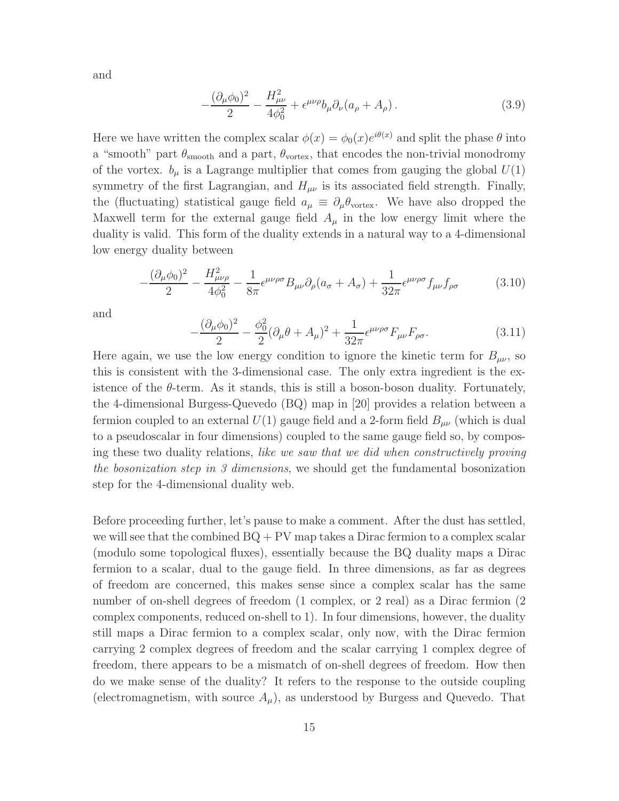and

$$
-\frac{(\partial_{\mu}\phi_0)^2}{2} - \frac{H_{\mu\nu}^2}{4\phi_0^2} + \epsilon^{\mu\nu\rho}b_{\mu}\partial_{\nu}(a_{\rho} + A_{\rho}).
$$
\n(3.9)

Here we have written the complex scalar  $\phi(x) = \phi_0(x)e^{i\theta(x)}$  and split the phase  $\theta$  into a "smooth" part  $\theta_{\rm smooth}$  and a part,  $\theta_{\rm vortex}$ , that encodes the non-trivial monodromy of the vortex.  $b_{\mu}$  is a Lagrange multiplier that comes from gauging the global  $U(1)$ symmetry of the first Lagrangian, and  $H_{\mu\nu}$  is its associated field strength. Finally, the (fluctuating) statistical gauge field  $a_{\mu} \equiv \partial_{\mu} \theta_{\text{vortex}}$ . We have also dropped the Maxwell term for the external gauge field  $A_\mu$  in the low energy limit where the duality is valid. This form of the duality extends in a natural way to a 4-dimensional low energy duality between

$$
-\frac{(\partial_{\mu}\phi_0)^2}{2} - \frac{H_{\mu\nu\rho}^2}{4\phi_0^2} - \frac{1}{8\pi} \epsilon^{\mu\nu\rho\sigma} B_{\mu\nu} \partial_{\rho} (a_{\sigma} + A_{\sigma}) + \frac{1}{32\pi} \epsilon^{\mu\nu\rho\sigma} f_{\mu\nu} f_{\rho\sigma}
$$
(3.10)

and

$$
-\frac{(\partial_{\mu}\phi_0)^2}{2} - \frac{\phi_0^2}{2}(\partial_{\mu}\theta + A_{\mu})^2 + \frac{1}{32\pi}\epsilon^{\mu\nu\rho\sigma}F_{\mu\nu}F_{\rho\sigma}.
$$
 (3.11)

Here again, we use the low energy condition to ignore the kinetic term for  $B_{\mu\nu}$ , so this is consistent with the 3-dimensional case. The only extra ingredient is the existence of the  $\theta$ -term. As it stands, this is still a boson-boson duality. Fortunately, the 4-dimensional Burgess-Quevedo (BQ) map in [20] provides a relation between a fermion coupled to an external  $U(1)$  gauge field and a 2-form field  $B_{\mu\nu}$  (which is dual to a pseudoscalar in four dimensions) coupled to the same gauge field so, by composing these two duality relations, like we saw that we did when constructively proving the bosonization step in 3 dimensions, we should get the fundamental bosonization step for the 4-dimensional duality web.

Before proceeding further, let's pause to make a comment. After the dust has settled, we will see that the combined  $BQ + PV$  map takes a Dirac fermion to a complex scalar (modulo some topological fluxes), essentially because the BQ duality maps a Dirac fermion to a scalar, dual to the gauge field. In three dimensions, as far as degrees of freedom are concerned, this makes sense since a complex scalar has the same number of on-shell degrees of freedom (1 complex, or 2 real) as a Dirac fermion (2 complex components, reduced on-shell to 1). In four dimensions, however, the duality still maps a Dirac fermion to a complex scalar, only now, with the Dirac fermion carrying 2 complex degrees of freedom and the scalar carrying 1 complex degree of freedom, there appears to be a mismatch of on-shell degrees of freedom. How then do we make sense of the duality? It refers to the response to the outside coupling (electromagnetism, with source  $A_\mu$ ), as understood by Burgess and Quevedo. That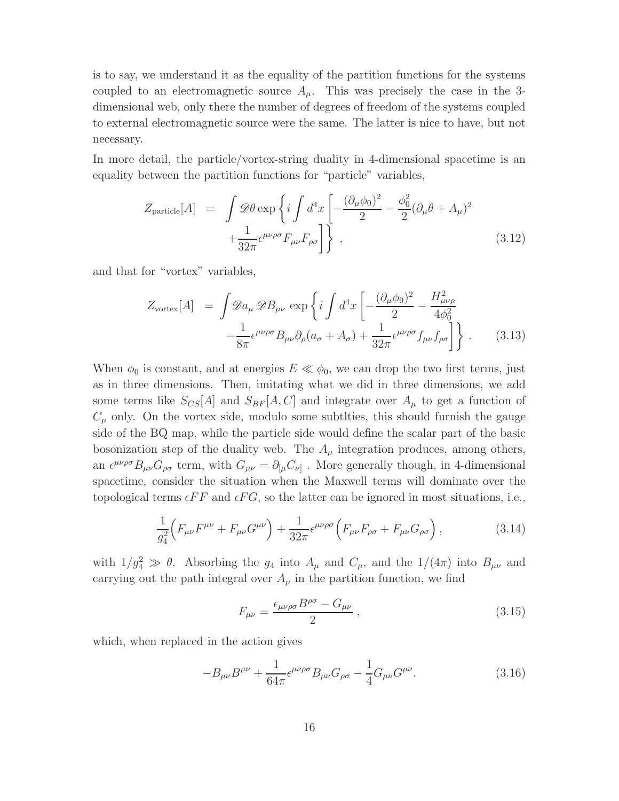is to say, we understand it as the equality of the partition functions for the systems coupled to an electromagnetic source  $A_\mu$ . This was precisely the case in the 3dimensional web, only there the number of degrees of freedom of the systems coupled to external electromagnetic source were the same. The latter is nice to have, but not necessary.

In more detail, the particle/vortex-string duality in 4-dimensional spacetime is an equality between the partition functions for "particle" variables,

$$
Z_{\text{particle}}[A] = \int \mathcal{D}\theta \exp\left\{i \int d^4x \left[ -\frac{(\partial_\mu \phi_0)^2}{2} - \frac{\phi_0^2}{2} (\partial_\mu \theta + A_\mu)^2 + \frac{1}{32\pi} \epsilon^{\mu\nu\rho\sigma} F_{\mu\nu} F_{\rho\sigma} \right] \right\},
$$
\n(3.12)

and that for "vortex" variables,

$$
Z_{\text{vortex}}[A] = \int \mathcal{D}a_{\mu} \mathcal{D}B_{\mu\nu} \exp\left\{i \int d^4x \left[ -\frac{(\partial_{\mu}\phi_0)^2}{2} - \frac{H_{\mu\nu\rho}^2}{4\phi_0^2} -\frac{1}{8\pi} \epsilon^{\mu\nu\rho\sigma} B_{\mu\nu} \partial_{\rho} (a_{\sigma} + A_{\sigma}) + \frac{1}{32\pi} \epsilon^{\mu\nu\rho\sigma} f_{\mu\nu} f_{\rho\sigma} \right] \right\}.
$$
 (3.13)

When  $\phi_0$  is constant, and at energies  $E \ll \phi_0$ , we can drop the two first terms, just as in three dimensions. Then, imitating what we did in three dimensions, we add some terms like  $S_{CS}[A]$  and  $S_{BF}[A, C]$  and integrate over  $A_{\mu}$  to get a function of  $C_{\mu}$  only. On the vortex side, modulo some subtities, this should furnish the gauge side of the BQ map, while the particle side would define the scalar part of the basic bosonization step of the duality web. The  $A_{\mu}$  integration produces, among others, an  $\epsilon^{\mu\nu\rho\sigma}B_{\mu\nu}G_{\rho\sigma}$  term, with  $G_{\mu\nu} = \partial_{[\mu}C_{\nu]}$ . More generally though, in 4-dimensional spacetime, consider the situation when the Maxwell terms will dominate over the topological terms  $\epsilon FF$  and  $\epsilon FG$ , so the latter can be ignored in most situations, i.e.,

$$
\frac{1}{g_4^2} \Big( F_{\mu\nu} F^{\mu\nu} + F_{\mu\nu} G^{\mu\nu} \Big) + \frac{1}{32\pi} \epsilon^{\mu\nu\rho\sigma} \Big( F_{\mu\nu} F_{\rho\sigma} + F_{\mu\nu} G_{\rho\sigma} \Big) ,\tag{3.14}
$$

with  $1/g_4^2 \gg \theta$ . Absorbing the  $g_4$  into  $A_\mu$  and  $C_\mu$ , and the  $1/(4\pi)$  into  $B_{\mu\nu}$  and carrying out the path integral over  $A_\mu$  in the partition function, we find

$$
F_{\mu\nu} = \frac{\epsilon_{\mu\nu\rho\sigma}B^{\rho\sigma} - G_{\mu\nu}}{2} \,, \tag{3.15}
$$

which, when replaced in the action gives

$$
-B_{\mu\nu}B^{\mu\nu} + \frac{1}{64\pi} \epsilon^{\mu\nu\rho\sigma} B_{\mu\nu} G_{\rho\sigma} - \frac{1}{4} G_{\mu\nu} G^{\mu\nu}.
$$
 (3.16)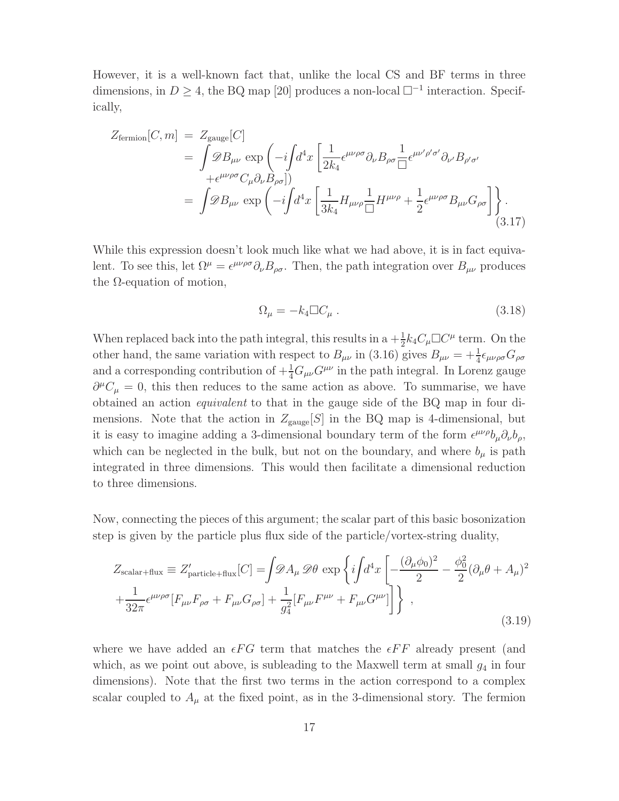However, it is a well-known fact that, unlike the local CS and BF terms in three dimensions, in  $D \geq 4$ , the BQ map [20] produces a non-local  $\square^{-1}$  interaction. Specifically,

$$
Z_{\text{fermion}}[C,m] = Z_{\text{gauge}}[C]
$$
  
= 
$$
\int \mathcal{D}B_{\mu\nu} \exp\left(-i\int d^4x \left[\frac{1}{2k_4} \epsilon^{\mu\nu\rho\sigma} \partial_{\nu} B_{\rho\sigma} \frac{1}{\Box} \epsilon^{\mu\nu'\rho'\sigma'} \partial_{\nu'} B_{\rho'\sigma'} \right] + \epsilon^{\mu\nu\rho\sigma} C_{\mu} \partial_{\nu} B_{\rho\sigma}] \right)
$$
  
= 
$$
\int \mathcal{D}B_{\mu\nu} \exp\left(-i\int d^4x \left[\frac{1}{3k_4} H_{\mu\nu\rho} \frac{1}{\Box} H^{\mu\nu\rho} + \frac{1}{2} \epsilon^{\mu\nu\rho\sigma} B_{\mu\nu} G_{\rho\sigma}\right] \right).
$$
(3.17)

While this expression doesn't look much like what we had above, it is in fact equivalent. To see this, let  $\Omega^{\mu} = \epsilon^{\mu\nu\rho\sigma} \partial_{\nu} B_{\rho\sigma}$ . Then, the path integration over  $B_{\mu\nu}$  produces the  $\Omega$ -equation of motion,

$$
\Omega_{\mu} = -k_4 \Box C_{\mu} \,. \tag{3.18}
$$

When replaced back into the path integral, this results in a  $+\frac{1}{2}k_4C_\mu\Box C^\mu$  term. On the other hand, the same variation with respect to  $B_{\mu\nu}$  in (3.16) gives  $B_{\mu\nu} = +\frac{1}{4} \epsilon_{\mu\nu\rho\sigma} G_{\rho\sigma}$ and a corresponding contribution of  $+\frac{1}{4}G_{\mu\nu}G^{\mu\nu}$  in the path integral. In Lorenz gauge  $\partial^{\mu}C_{\mu}=0$ , this then reduces to the same action as above. To summarise, we have obtained an action equivalent to that in the gauge side of the BQ map in four dimensions. Note that the action in  $Z_{\text{gauge}}[S]$  in the BQ map is 4-dimensional, but it is easy to imagine adding a 3-dimensional boundary term of the form  $\epsilon^{\mu\nu\rho}b_{\mu}\partial_{\nu}b_{\rho}$ , which can be neglected in the bulk, but not on the boundary, and where  $b_{\mu}$  is path integrated in three dimensions. This would then facilitate a dimensional reduction to three dimensions.

Now, connecting the pieces of this argument; the scalar part of this basic bosonization step is given by the particle plus flux side of the particle/vortex-string duality,

$$
Z_{\text{scalar+flux}} \equiv Z'_{\text{particle+flux}}[C] = \int \mathcal{D}A_{\mu} \mathcal{D}\theta \exp\left\{i\int d^4x \left[ -\frac{(\partial_{\mu}\phi_0)^2}{2} - \frac{\phi_0^2}{2}(\partial_{\mu}\theta + A_{\mu})^2 \right] + \frac{1}{32\pi} \epsilon^{\mu\nu\rho\sigma} [F_{\mu\nu}F_{\rho\sigma} + F_{\mu\nu}G_{\rho\sigma}] + \frac{1}{g_4^2} [F_{\mu\nu}F^{\mu\nu} + F_{\mu\nu}G^{\mu\nu}] \right\} ,
$$
\n(3.19)

where we have added an  $\epsilon FG$  term that matches the  $\epsilon FF$  already present (and which, as we point out above, is subleading to the Maxwell term at small  $g_4$  in four dimensions). Note that the first two terms in the action correspond to a complex scalar coupled to  $A_{\mu}$  at the fixed point, as in the 3-dimensional story. The fermion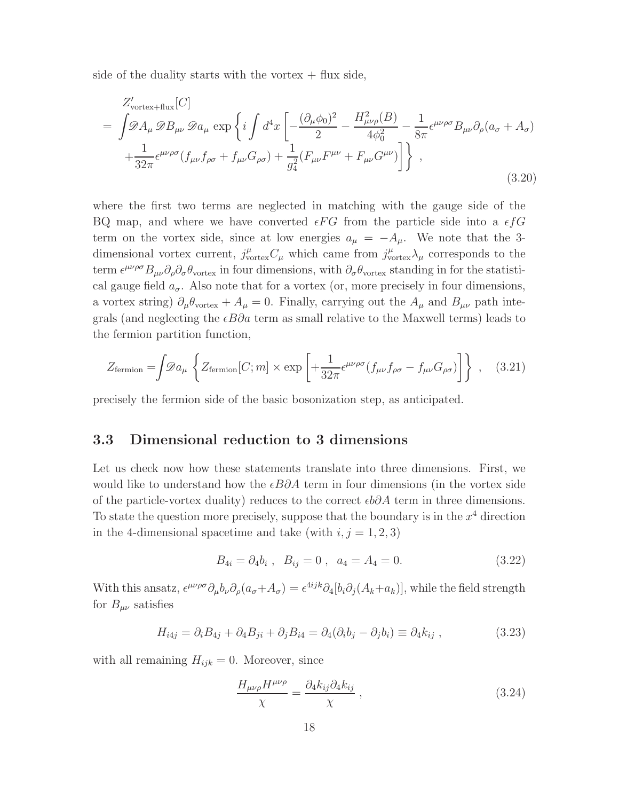side of the duality starts with the vortex  $+$  flux side,

$$
Z'_{\text{vortex-flux}}[C]
$$
\n
$$
= \int \mathscr{D}A_{\mu} \mathscr{D}B_{\mu\nu} \mathscr{D}a_{\mu} \exp \left\{ i \int d^4x \left[ -\frac{(\partial_{\mu}\phi_0)^2}{2} - \frac{H_{\mu\nu\rho}^2(B)}{4\phi_0^2} - \frac{1}{8\pi} \epsilon^{\mu\nu\rho\sigma} B_{\mu\nu} \partial_{\rho} (a_{\sigma} + A_{\sigma}) \right] + \frac{1}{32\pi} \epsilon^{\mu\nu\rho\sigma} (f_{\mu\nu} f_{\rho\sigma} + f_{\mu\nu} G_{\rho\sigma}) + \frac{1}{g_4^2} (F_{\mu\nu} F^{\mu\nu} + F_{\mu\nu} G^{\mu\nu}) \right\} ,
$$
\n(3.20)

where the first two terms are neglected in matching with the gauge side of the BQ map, and where we have converted  $\epsilon FG$  from the particle side into a  $\epsilon fG$ term on the vortex side, since at low energies  $a_{\mu} = -A_{\mu}$ . We note that the 3dimensional vortex current,  $j^{\mu}_{\text{vortex}} C_{\mu}$  which came from  $j^{\mu}_{\text{vortex}} \lambda_{\mu}$  corresponds to the term  $\epsilon^{\mu\nu\rho\sigma}B_{\mu\nu}\partial_\rho\partial_\sigma\theta_{\text{vortex}}$  in four dimensions, with  $\partial_\sigma\theta_{\text{vortex}}$  standing in for the statistical gauge field  $a_{\sigma}$ . Also note that for a vortex (or, more precisely in four dimensions, a vortex string)  $\partial_{\mu} \theta_{\text{vortex}} + A_{\mu} = 0$ . Finally, carrying out the  $A_{\mu}$  and  $B_{\mu\nu}$  path integrals (and neglecting the  $\epsilon B\partial a$  term as small relative to the Maxwell terms) leads to the fermion partition function,

$$
Z_{\text{fermion}} = \int \mathscr{D}a_{\mu} \left\{ Z_{\text{fermion}}[C; m] \times \exp \left[ + \frac{1}{32\pi} \epsilon^{\mu\nu\rho\sigma} (f_{\mu\nu} f_{\rho\sigma} - f_{\mu\nu} G_{\rho\sigma}) \right] \right\} , \quad (3.21)
$$

precisely the fermion side of the basic bosonization step, as anticipated.

#### 3.3 Dimensional reduction to 3 dimensions

Let us check now how these statements translate into three dimensions. First, we would like to understand how the  $\epsilon B\partial A$  term in four dimensions (in the vortex side of the particle-vortex duality) reduces to the correct  $\epsilon b\partial A$  term in three dimensions. To state the question more precisely, suppose that the boundary is in the  $x^4$  direction in the 4-dimensional spacetime and take (with  $i, j = 1, 2, 3$ )

$$
B_{4i} = \partial_4 b_i \ , \ B_{ij} = 0 \ , \ a_4 = A_4 = 0. \tag{3.22}
$$

With this ansatz,  $\epsilon^{\mu\nu\rho\sigma}\partial_\mu b_\nu \partial_\rho(a_\sigma + A_\sigma) = \epsilon^{4ijk}\partial_4[b_i\partial_j(A_k + a_k)],$  while the field strength for  $B_{\mu\nu}$  satisfies

$$
H_{i4j} = \partial_i B_{4j} + \partial_4 B_{ji} + \partial_j B_{i4} = \partial_4 (\partial_i b_j - \partial_j b_i) \equiv \partial_4 k_{ij} , \qquad (3.23)
$$

with all remaining  $H_{ijk} = 0$ . Moreover, since

$$
\frac{H_{\mu\nu\rho}H^{\mu\nu\rho}}{\chi} = \frac{\partial_4 k_{ij}\partial_4 k_{ij}}{\chi} \,,\tag{3.24}
$$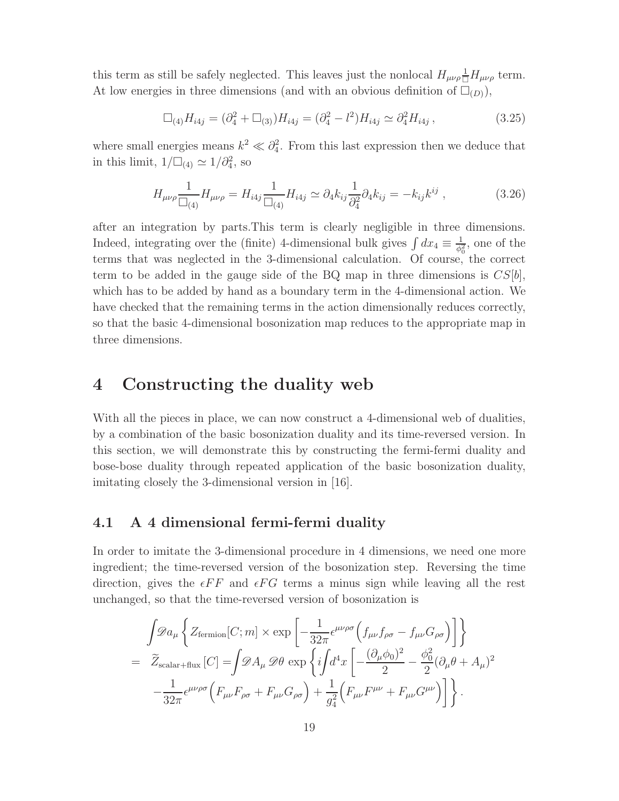this term as still be safely neglected. This leaves just the nonlocal  $H_{\mu\nu\rho} \frac{1}{\Box} H_{\mu\nu\rho}$  term. At low energies in three dimensions (and with an obvious definition of  $\Box_{(D)}$ ),

$$
\Box_{(4)} H_{i4j} = (\partial_4^2 + \Box_{(3)}) H_{i4j} = (\partial_4^2 - l^2) H_{i4j} \simeq \partial_4^2 H_{i4j}, \qquad (3.25)
$$

where small energies means  $k^2 \ll \partial_4^2$ . From this last expression then we deduce that in this limit,  $1/\square_{(4)} \simeq 1/\partial_4^2$ , so

$$
H_{\mu\nu\rho} \frac{1}{\Box_{(4)}} H_{\mu\nu\rho} = H_{i4j} \frac{1}{\Box_{(4)}} H_{i4j} \simeq \partial_4 k_{ij} \frac{1}{\partial_4^2} \partial_4 k_{ij} = -k_{ij} k^{ij} , \qquad (3.26)
$$

after an integration by parts.This term is clearly negligible in three dimensions. Indeed, integrating over the (finite) 4-dimensional bulk gives  $\int dx_4 \equiv \frac{1}{\phi_0^2}$  $\frac{1}{\phi_0^2}$ , one of the terms that was neglected in the 3-dimensional calculation. Of course, the correct term to be added in the gauge side of the BQ map in three dimensions is  $CS[b]$ , which has to be added by hand as a boundary term in the 4-dimensional action. We have checked that the remaining terms in the action dimensionally reduces correctly, so that the basic 4-dimensional bosonization map reduces to the appropriate map in three dimensions.

### 4 Constructing the duality web

With all the pieces in place, we can now construct a 4-dimensional web of dualities, by a combination of the basic bosonization duality and its time-reversed version. In this section, we will demonstrate this by constructing the fermi-fermi duality and bose-bose duality through repeated application of the basic bosonization duality, imitating closely the 3-dimensional version in [16].

#### 4.1 A 4 dimensional fermi-fermi duality

In order to imitate the 3-dimensional procedure in 4 dimensions, we need one more ingredient; the time-reversed version of the bosonization step. Reversing the time direction, gives the  $\epsilon FF$  and  $\epsilon FG$  terms a minus sign while leaving all the rest unchanged, so that the time-reversed version of bosonization is

$$
\int \mathscr{D}a_{\mu} \left\{ Z_{\text{fermion}}[C;m] \times \exp\left[ -\frac{1}{32\pi} \epsilon^{\mu\nu\rho\sigma} \left( f_{\mu\nu} f_{\rho\sigma} - f_{\mu\nu} G_{\rho\sigma} \right) \right] \right\}
$$
  
=  $\widetilde{Z}_{\text{scalar-flux}}[C] = \int \mathscr{D}A_{\mu} \mathscr{D}\theta \exp\left\{ i \int d^4x \left[ -\frac{(\partial_{\mu}\phi_0)^2}{2} - \frac{\phi_0^2}{2} (\partial_{\mu}\theta + A_{\mu})^2 - \frac{1}{32\pi} \epsilon^{\mu\nu\rho\sigma} \left( F_{\mu\nu} F_{\rho\sigma} + F_{\mu\nu} G_{\rho\sigma} \right) + \frac{1}{g_4^2} \left( F_{\mu\nu} F^{\mu\nu} + F_{\mu\nu} G^{\mu\nu} \right) \right] \right\}.$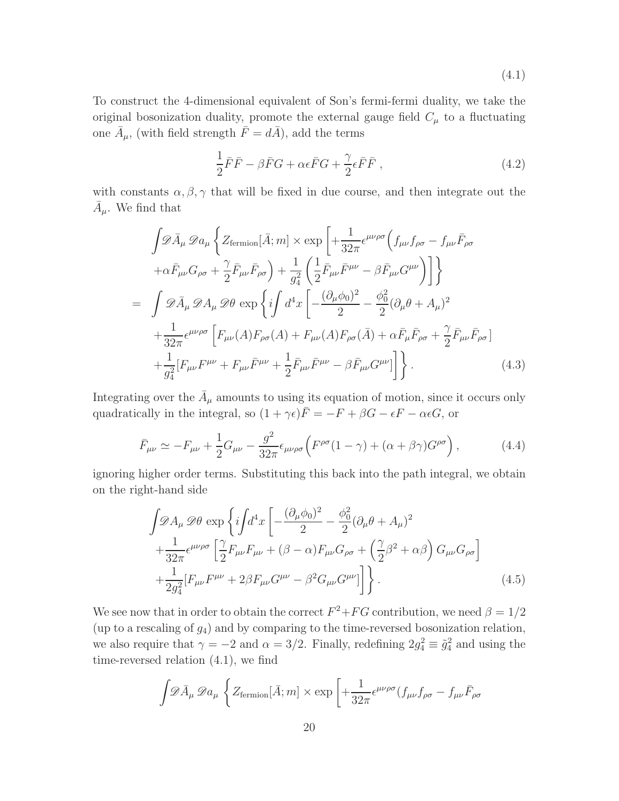(4.1)

To construct the 4-dimensional equivalent of Son's fermi-fermi duality, we take the original bosonization duality, promote the external gauge field  $C_{\mu}$  to a fluctuating one  $\overline{A}_{\mu}$ , (with field strength  $\overline{F} = d\overline{A}$ ), add the terms

$$
\frac{1}{2}\bar{F}\bar{F} - \beta \bar{F}G + \alpha \epsilon \bar{F}G + \frac{\gamma}{2} \epsilon \bar{F}\bar{F} , \qquad (4.2)
$$

with constants  $\alpha, \beta, \gamma$  that will be fixed in due course, and then integrate out the  $\bar{A}_{\mu}$ . We find that

$$
\int \mathcal{D}\bar{A}_{\mu} \mathcal{D}a_{\mu} \left\{ Z_{\text{fermion}}[\bar{A};m] \times \exp\left[ +\frac{1}{32\pi} \epsilon^{\mu\nu\rho\sigma} \left( f_{\mu\nu} f_{\rho\sigma} - f_{\mu\nu} \bar{F}_{\rho\sigma} \right) \right. \\ \left. + \alpha \bar{F}_{\mu\nu} G_{\rho\sigma} + \frac{\gamma}{2} \bar{F}_{\mu\nu} \bar{F}_{\rho\sigma} \right) + \frac{1}{g_4^2} \left( \frac{1}{2} \bar{F}_{\mu\nu} \bar{F}^{\mu\nu} - \beta \bar{F}_{\mu\nu} G^{\mu\nu} \right) \right] \right\} \\ = \int \mathcal{D}\bar{A}_{\mu} \mathcal{D}A_{\mu} \mathcal{D}\theta \exp\left\{ i \int d^4 x \left[ -\frac{(\partial_{\mu} \phi_0)^2}{2} - \frac{\phi_0^2}{2} (\partial_{\mu} \theta + A_{\mu})^2 \right. \\ \left. + \frac{1}{32\pi} \epsilon^{\mu\nu\rho\sigma} \left[ F_{\mu\nu} (A) F_{\rho\sigma} (A) + F_{\mu\nu} (A) F_{\rho\sigma} (\bar{A}) + \alpha \bar{F}_{\mu} \bar{F}_{\rho\sigma} + \frac{\gamma}{2} \bar{F}_{\mu\nu} \bar{F}_{\rho\sigma} \right] \right. \\ \left. + \frac{1}{g_4^2} \left[ F_{\mu\nu} F^{\mu\nu} + F_{\mu\nu} \bar{F}^{\mu\nu} + \frac{1}{2} \bar{F}_{\mu\nu} \bar{F}^{\mu\nu} - \beta \bar{F}_{\mu\nu} G^{\mu\nu} \right] \right\} . \tag{4.3}
$$

Integrating over the  $\bar{A}_{\mu}$  amounts to using its equation of motion, since it occurs only quadratically in the integral, so  $(1 + \gamma \epsilon)\overline{F} = -F + \beta G - \epsilon F - \alpha \epsilon G$ , or

$$
\bar{F}_{\mu\nu} \simeq -F_{\mu\nu} + \frac{1}{2}G_{\mu\nu} - \frac{g^2}{32\pi} \epsilon_{\mu\nu\rho\sigma} \left( F^{\rho\sigma} (1-\gamma) + (\alpha + \beta \gamma) G^{\rho\sigma} \right),\tag{4.4}
$$

ignoring higher order terms. Substituting this back into the path integral, we obtain on the right-hand side

$$
\int \mathcal{D}A_{\mu} \mathcal{D}\theta \exp\left\{i\int d^{4}x \left[ -\frac{(\partial_{\mu}\phi_{0})^{2}}{2} - \frac{\phi_{0}^{2}}{2}(\partial_{\mu}\theta + A_{\mu})^{2} \right. \right.\left. + \frac{1}{32\pi} \epsilon^{\mu\nu\rho\sigma} \left[ \frac{\gamma}{2} F_{\mu\nu} F_{\mu\nu} + (\beta - \alpha) F_{\mu\nu} G_{\rho\sigma} + \left( \frac{\gamma}{2} \beta^{2} + \alpha \beta \right) G_{\mu\nu} G_{\rho\sigma} \right] \right.\left. + \frac{1}{2g_{4}^{2}} [F_{\mu\nu} F^{\mu\nu} + 2\beta F_{\mu\nu} G^{\mu\nu} - \beta^{2} G_{\mu\nu} G^{\mu\nu}] \right\}.
$$
\n(4.5)

We see now that in order to obtain the correct  $F^2 + FG$  contribution, we need  $\beta = 1/2$ (up to a rescaling of  $g_4$ ) and by comparing to the time-reversed bosonization relation, we also require that  $\gamma = -2$  and  $\alpha = 3/2$ . Finally, redefining  $2g_4^2 \equiv \tilde{g}_4^2$  and using the time-reversed relation (4.1), we find

$$
\int \mathscr{D}\bar{A}_{\mu} \mathscr{D}a_{\mu} \left\{ Z_{\text{fermion}}[\bar{A};m] \times \exp \left[ + \frac{1}{32\pi} \epsilon^{\mu\nu\rho\sigma} (f_{\mu\nu} f_{\rho\sigma} - f_{\mu\nu} \bar{F}_{\rho\sigma} \right] \right\}
$$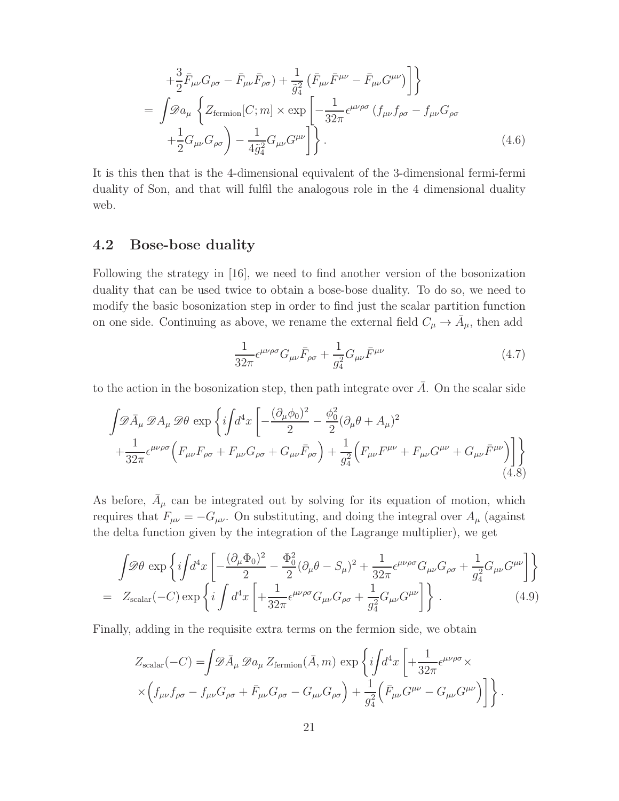$$
+\frac{3}{2}\bar{F}_{\mu\nu}G_{\rho\sigma} - \bar{F}_{\mu\nu}\bar{F}_{\rho\sigma}) + \frac{1}{\tilde{g}_{4}^{2}}\left(\bar{F}_{\mu\nu}\bar{F}^{\mu\nu} - \bar{F}_{\mu\nu}G^{\mu\nu}\right)\right}
$$
  
= 
$$
\int \mathscr{D}a_{\mu} \left\{ Z_{\text{fermion}}[C; m] \times \exp\left[ -\frac{1}{32\pi} \epsilon^{\mu\nu\rho\sigma} \left( f_{\mu\nu} f_{\rho\sigma} - f_{\mu\nu} G_{\rho\sigma} \right) \right. \\ \left. + \frac{1}{2} G_{\mu\nu} G_{\rho\sigma} \right) - \frac{1}{4\tilde{g}_{4}^{2}} G_{\mu\nu}G^{\mu\nu} \right\}.
$$
 (4.6)

It is this then that is the 4-dimensional equivalent of the 3-dimensional fermi-fermi duality of Son, and that will fulfil the analogous role in the 4 dimensional duality web.

### 4.2 Bose-bose duality

Following the strategy in [16], we need to find another version of the bosonization duality that can be used twice to obtain a bose-bose duality. To do so, we need to modify the basic bosonization step in order to find just the scalar partition function on one side. Continuing as above, we rename the external field  $C_{\mu} \to \bar{A}_{\mu}$ , then add

$$
\frac{1}{32\pi} \epsilon^{\mu\nu\rho\sigma} G_{\mu\nu} \bar{F}_{\rho\sigma} + \frac{1}{g_4^2} G_{\mu\nu} \bar{F}^{\mu\nu} \tag{4.7}
$$

to the action in the bosonization step, then path integrate over  $\overline{A}$ . On the scalar side

$$
\int \mathscr{D}\bar{A}_{\mu} \mathscr{D}A_{\mu} \mathscr{D}\theta \exp\left\{i\int d^{4}x \left[ -\frac{(\partial_{\mu}\phi_{0})^{2}}{2} - \frac{\phi_{0}^{2}}{2}(\partial_{\mu}\theta + A_{\mu})^{2} \right. \right. \\ \left. + \frac{1}{32\pi} \epsilon^{\mu\nu\rho\sigma} \left( F_{\mu\nu}F_{\rho\sigma} + F_{\mu\nu}G_{\rho\sigma} + G_{\mu\nu}\bar{F}_{\rho\sigma} \right) + \frac{1}{g_{4}^{2}} \left( F_{\mu\nu}F^{\mu\nu} + F_{\mu\nu}G^{\mu\nu} + G_{\mu\nu}\bar{F}^{\mu\nu} \right) \right] \right\} \tag{4.8}
$$

As before,  $\bar{A}_{\mu}$  can be integrated out by solving for its equation of motion, which requires that  $F_{\mu\nu} = -G_{\mu\nu}$ . On substituting, and doing the integral over  $A_{\mu}$  (against the delta function given by the integration of the Lagrange multiplier), we get

$$
\int \mathcal{D}\theta \exp\left\{i\int d^4x \left[ -\frac{(\partial_\mu \Phi_0)^2}{2} - \frac{\Phi_0^2}{2} (\partial_\mu \theta - S_\mu)^2 + \frac{1}{32\pi} \epsilon^{\mu\nu\rho\sigma} G_{\mu\nu} G_{\rho\sigma} + \frac{1}{g_4^2} G_{\mu\nu} G^{\mu\nu} \right] \right\}
$$
  
=  $Z_{\text{scalar}}(-C) \exp\left\{i \int d^4x \left[ +\frac{1}{32\pi} \epsilon^{\mu\nu\rho\sigma} G_{\mu\nu} G_{\rho\sigma} + \frac{1}{g_4^2} G_{\mu\nu} G^{\mu\nu} \right] \right\}.$  (4.9)

Finally, adding in the requisite extra terms on the fermion side, we obtain

$$
Z_{\text{scalar}}(-C) = \int \mathscr{D}\bar{A}_{\mu} \mathscr{D}a_{\mu} Z_{\text{fermion}}(\bar{A}, m) \exp \left\{ i \int d^4x \left[ + \frac{1}{32\pi} \epsilon^{\mu\nu\rho\sigma} \times \right. \right. \times \left. \left( f_{\mu\nu} f_{\rho\sigma} - f_{\mu\nu} G_{\rho\sigma} + \bar{F}_{\mu\nu} G_{\rho\sigma} - G_{\mu\nu} G_{\rho\sigma} \right) + \frac{1}{g_4^2} \left( \bar{F}_{\mu\nu} G^{\mu\nu} - G_{\mu\nu} G^{\mu\nu} \right) \right] \right\}.
$$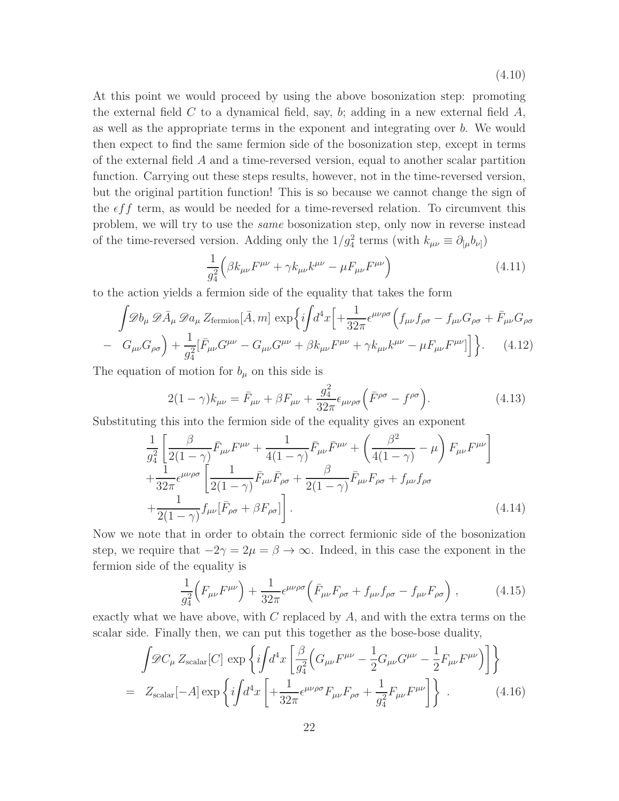(4.10)

At this point we would proceed by using the above bosonization step: promoting the external field C to a dynamical field, say, b; adding in a new external field  $A$ , as well as the appropriate terms in the exponent and integrating over b. We would then expect to find the same fermion side of the bosonization step, except in terms of the external field A and a time-reversed version, equal to another scalar partition function. Carrying out these steps results, however, not in the time-reversed version, but the original partition function! This is so because we cannot change the sign of the  $\epsilon f f$  term, as would be needed for a time-reversed relation. To circumvent this problem, we will try to use the same bosonization step, only now in reverse instead of the time-reversed version. Adding only the  $1/g_4^2$  terms (with  $k_{\mu\nu} \equiv \partial_{[\mu}b_{\nu]}$ )

$$
\frac{1}{g_4^2} \left( \beta k_{\mu\nu} F^{\mu\nu} + \gamma k_{\mu\nu} k^{\mu\nu} - \mu F_{\mu\nu} F^{\mu\nu} \right) \tag{4.11}
$$

to the action yields a fermion side of the equality that takes the form

$$
\int \mathscr{D}b_{\mu} \mathscr{D}\bar{A}_{\mu} \mathscr{D}a_{\mu} Z_{\text{fermion}}[\bar{A}, m] \exp\left\{i\int d^{4}x \left[ +\frac{1}{32\pi} \epsilon^{\mu\nu\rho\sigma} \left( f_{\mu\nu} f_{\rho\sigma} - f_{\mu\nu} G_{\rho\sigma} + \bar{F}_{\mu\nu} G_{\rho\sigma} \right) - G_{\mu\nu} G_{\rho\sigma} \right] + \frac{1}{g_{4}^{2}} [\bar{F}_{\mu\nu} G^{\mu\nu} - G_{\mu\nu} G^{\mu\nu} + \beta k_{\mu\nu} F^{\mu\nu} + \gamma k_{\mu\nu} k^{\mu\nu} - \mu F_{\mu\nu} F^{\mu\nu}] \right\}.
$$
 (4.12)

The equation of motion for  $b_{\mu}$  on this side is

$$
2(1-\gamma)k_{\mu\nu} = \bar{F}_{\mu\nu} + \beta F_{\mu\nu} + \frac{g_4^2}{32\pi} \epsilon_{\mu\nu\rho\sigma} \left(\bar{F}^{\rho\sigma} - f^{\rho\sigma}\right).
$$
 (4.13)

Substituting this into the fermion side of the equality gives an exponent

$$
\frac{1}{g_4^2} \left[ \frac{\beta}{2(1-\gamma)} \bar{F}_{\mu\nu} F^{\mu\nu} + \frac{1}{4(1-\gamma)} \bar{F}_{\mu\nu} \bar{F}^{\mu\nu} + \left( \frac{\beta^2}{4(1-\gamma)} - \mu \right) F_{\mu\nu} F^{\mu\nu} \right] \n+ \frac{1}{32\pi} \epsilon^{\mu\nu\rho\sigma} \left[ \frac{1}{2(1-\gamma)} \bar{F}_{\mu\nu} \bar{F}_{\rho\sigma} + \frac{\beta}{2(1-\gamma)} \bar{F}_{\mu\nu} F_{\rho\sigma} + f_{\mu\nu} f_{\rho\sigma} \right. \n+ \frac{1}{2(1-\gamma)} f_{\mu\nu} [\bar{F}_{\rho\sigma} + \beta F_{\rho\sigma}] \right].
$$
\n(4.14)

Now we note that in order to obtain the correct fermionic side of the bosonization step, we require that  $-2\gamma = 2\mu = \beta \rightarrow \infty$ . Indeed, in this case the exponent in the fermion side of the equality is

$$
\frac{1}{g_4^2} \Big( F_{\mu\nu} F^{\mu\nu} \Big) + \frac{1}{32\pi} \epsilon^{\mu\nu\rho\sigma} \Big( \bar{F}_{\mu\nu} F_{\rho\sigma} + f_{\mu\nu} f_{\rho\sigma} - f_{\mu\nu} F_{\rho\sigma} \Big) , \tag{4.15}
$$

exactly what we have above, with  $C$  replaced by  $A$ , and with the extra terms on the scalar side. Finally then, we can put this together as the bose-bose duality,

$$
\int \mathscr{D}C_{\mu} Z_{\text{scalar}}[C] \exp\left\{i \int d^{4}x \left[\frac{\beta}{g_{4}^{2}} \left(G_{\mu\nu}F^{\mu\nu} - \frac{1}{2}G_{\mu\nu}G^{\mu\nu} - \frac{1}{2}F_{\mu\nu}F^{\mu\nu}\right)\right]\right\}
$$
\n
$$
= Z_{\text{scalar}}[-A] \exp\left\{i \int d^{4}x \left[+\frac{1}{32\pi} \epsilon^{\mu\nu\rho\sigma}F_{\mu\nu}F_{\rho\sigma} + \frac{1}{g_{4}^{2}}F_{\mu\nu}F^{\mu\nu}\right]\right\}.
$$
\n(4.16)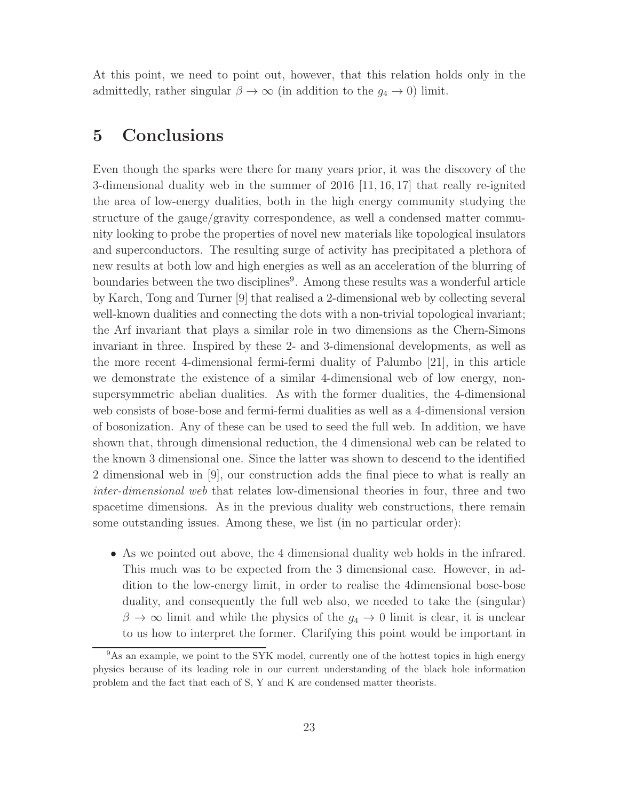At this point, we need to point out, however, that this relation holds only in the admittedly, rather singular  $\beta \to \infty$  (in addition to the  $g_4 \to 0$ ) limit.

### 5 Conclusions

Even though the sparks were there for many years prior, it was the discovery of the 3-dimensional duality web in the summer of 2016 [11, 16, 17] that really re-ignited the area of low-energy dualities, both in the high energy community studying the structure of the gauge/gravity correspondence, as well a condensed matter community looking to probe the properties of novel new materials like topological insulators and superconductors. The resulting surge of activity has precipitated a plethora of new results at both low and high energies as well as an acceleration of the blurring of boundaries between the two disciplines<sup>9</sup>. Among these results was a wonderful article by Karch, Tong and Turner [9] that realised a 2-dimensional web by collecting several well-known dualities and connecting the dots with a non-trivial topological invariant; the Arf invariant that plays a similar role in two dimensions as the Chern-Simons invariant in three. Inspired by these 2- and 3-dimensional developments, as well as the more recent 4-dimensional fermi-fermi duality of Palumbo [21], in this article we demonstrate the existence of a similar 4-dimensional web of low energy, nonsupersymmetric abelian dualities. As with the former dualities, the 4-dimensional web consists of bose-bose and fermi-fermi dualities as well as a 4-dimensional version of bosonization. Any of these can be used to seed the full web. In addition, we have shown that, through dimensional reduction, the 4 dimensional web can be related to the known 3 dimensional one. Since the latter was shown to descend to the identified 2 dimensional web in [9], our construction adds the final piece to what is really an inter-dimensional web that relates low-dimensional theories in four, three and two spacetime dimensions. As in the previous duality web constructions, there remain some outstanding issues. Among these, we list (in no particular order):

• As we pointed out above, the 4 dimensional duality web holds in the infrared. This much was to be expected from the 3 dimensional case. However, in addition to the low-energy limit, in order to realise the 4dimensional bose-bose duality, and consequently the full web also, we needed to take the (singular)  $\beta \to \infty$  limit and while the physics of the  $g_4 \to 0$  limit is clear, it is unclear to us how to interpret the former. Clarifying this point would be important in

<sup>&</sup>lt;sup>9</sup>As an example, we point to the SYK model, currently one of the hottest topics in high energy physics because of its leading role in our current understanding of the black hole information problem and the fact that each of S, Y and K are condensed matter theorists.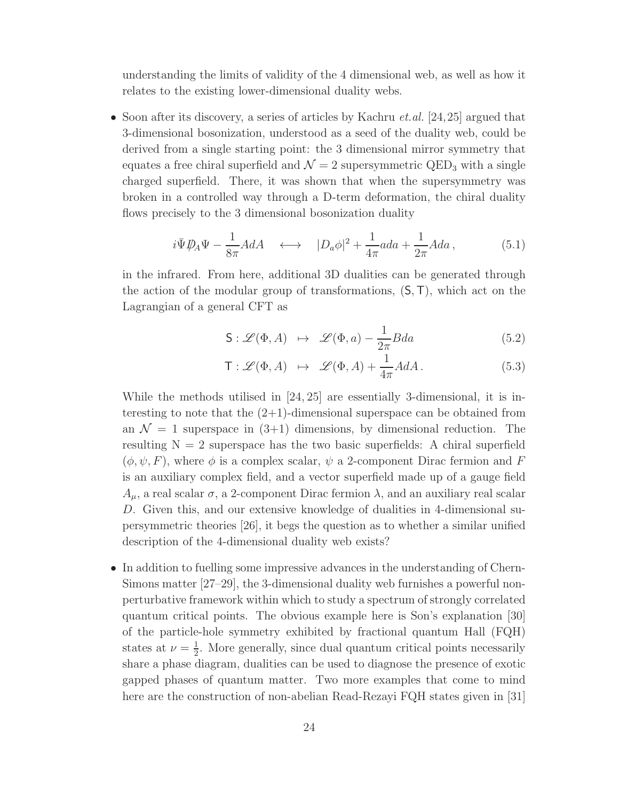understanding the limits of validity of the 4 dimensional web, as well as how it relates to the existing lower-dimensional duality webs.

• Soon after its discovery, a series of articles by Kachru *et.al.* [24,25] argued that 3-dimensional bosonization, understood as a seed of the duality web, could be derived from a single starting point: the 3 dimensional mirror symmetry that equates a free chiral superfield and  $\mathcal{N} = 2$  supersymmetric QED<sub>3</sub> with a single charged superfield. There, it was shown that when the supersymmetry was broken in a controlled way through a D-term deformation, the chiral duality flows precisely to the 3 dimensional bosonization duality

$$
i\bar{\Psi}\mathcal{D}_A\Psi - \frac{1}{8\pi}AdA \quad \longleftrightarrow \quad |D_a\phi|^2 + \frac{1}{4\pi}ada + \frac{1}{2\pi}Ada \,, \tag{5.1}
$$

in the infrared. From here, additional 3D dualities can be generated through the action of the modular group of transformations,  $(S, T)$ , which act on the Lagrangian of a general CFT as

$$
\mathsf{S}: \mathscr{L}(\Phi, A) \ \mapsto \ \mathscr{L}(\Phi, a) - \frac{1}{2\pi} B da \tag{5.2}
$$

$$
\mathsf{T}: \mathscr{L}(\Phi, A) \ \mapsto \ \mathscr{L}(\Phi, A) + \frac{1}{4\pi} A dA \,. \tag{5.3}
$$

While the methods utilised in [24, 25] are essentially 3-dimensional, it is interesting to note that the  $(2+1)$ -dimensional superspace can be obtained from an  $\mathcal{N} = 1$  superspace in  $(3+1)$  dimensions, by dimensional reduction. The resulting  $N = 2$  superspace has the two basic superfields: A chiral superfield  $(\phi, \psi, F)$ , where  $\phi$  is a complex scalar,  $\psi$  a 2-component Dirac fermion and F is an auxiliary complex field, and a vector superfield made up of a gauge field  $A_{\mu}$ , a real scalar  $\sigma$ , a 2-component Dirac fermion  $\lambda$ , and an auxiliary real scalar D. Given this, and our extensive knowledge of dualities in 4-dimensional supersymmetric theories [26], it begs the question as to whether a similar unified description of the 4-dimensional duality web exists?

• In addition to fuelling some impressive advances in the understanding of Chern-Simons matter [27–29], the 3-dimensional duality web furnishes a powerful nonperturbative framework within which to study a spectrum of strongly correlated quantum critical points. The obvious example here is Son's explanation [30] of the particle-hole symmetry exhibited by fractional quantum Hall (FQH) states at  $\nu = \frac{1}{2}$  $\frac{1}{2}$ . More generally, since dual quantum critical points necessarily share a phase diagram, dualities can be used to diagnose the presence of exotic gapped phases of quantum matter. Two more examples that come to mind here are the construction of non-abelian Read-Rezayi FQH states given in [31]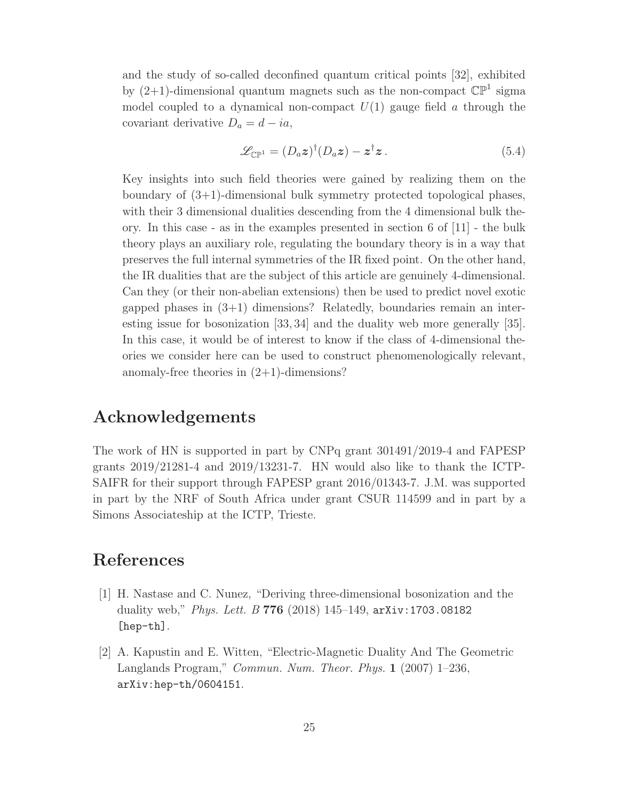and the study of so-called deconfined quantum critical points [32], exhibited by  $(2+1)$ -dimensional quantum magnets such as the non-compact  $\mathbb{CP}^1$  sigma model coupled to a dynamical non-compact  $U(1)$  gauge field a through the covariant derivative  $D_a = d - ia$ ,

$$
\mathscr{L}_{\mathbb{CP}^1} = (D_a \mathbf{z})^\dagger (D_a \mathbf{z}) - \mathbf{z}^\dagger \mathbf{z} \,. \tag{5.4}
$$

Key insights into such field theories were gained by realizing them on the boundary of (3+1)-dimensional bulk symmetry protected topological phases, with their 3 dimensional dualities descending from the 4 dimensional bulk theory. In this case - as in the examples presented in section 6 of [11] - the bulk theory plays an auxiliary role, regulating the boundary theory is in a way that preserves the full internal symmetries of the IR fixed point. On the other hand, the IR dualities that are the subject of this article are genuinely 4-dimensional. Can they (or their non-abelian extensions) then be used to predict novel exotic gapped phases in  $(3+1)$  dimensions? Relatedly, boundaries remain an interesting issue for bosonization [33, 34] and the duality web more generally [35]. In this case, it would be of interest to know if the class of 4-dimensional theories we consider here can be used to construct phenomenologically relevant, anomaly-free theories in  $(2+1)$ -dimensions?

### Acknowledgements

The work of HN is supported in part by CNPq grant 301491/2019-4 and FAPESP grants 2019/21281-4 and 2019/13231-7. HN would also like to thank the ICTP-SAIFR for their support through FAPESP grant 2016/01343-7. J.M. was supported in part by the NRF of South Africa under grant CSUR 114599 and in part by a Simons Associateship at the ICTP, Trieste.

## References

- [1] H. Nastase and C. Nunez, "Deriving three-dimensional bosonization and the duality web," *Phys. Lett. B* 776 (2018) 145–149,  $arXiv:1703.08182$ [hep-th].
- [2] A. Kapustin and E. Witten, "Electric-Magnetic Duality And The Geometric Langlands Program," Commun. Num. Theor. Phys. 1 (2007) 1–236, arXiv:hep-th/0604151.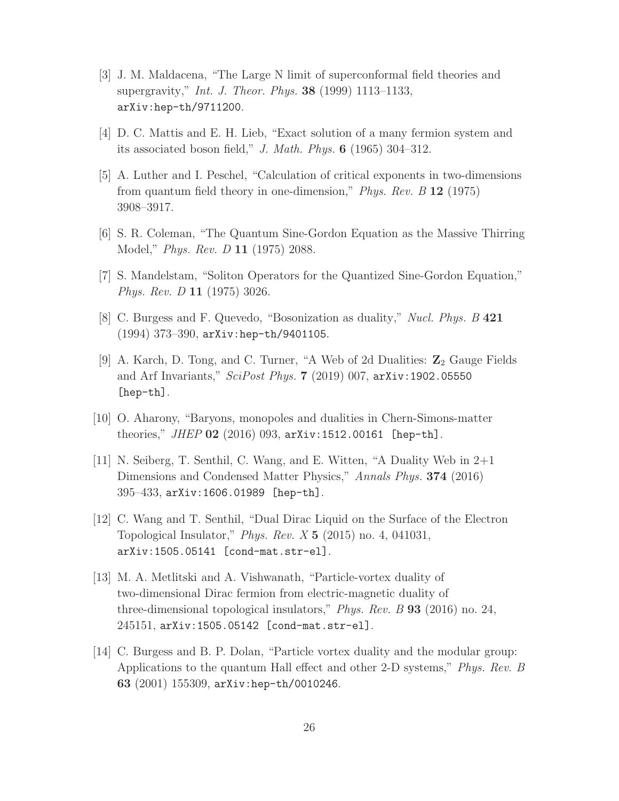- [3] J. M. Maldacena, "The Large N limit of superconformal field theories and supergravity," *Int. J. Theor. Phys.* **38** (1999) 1113–1133, arXiv:hep-th/9711200.
- [4] D. C. Mattis and E. H. Lieb, "Exact solution of a many fermion system and its associated boson field," J. Math. Phys. 6 (1965) 304–312.
- [5] A. Luther and I. Peschel, "Calculation of critical exponents in two-dimensions from quantum field theory in one-dimension," Phys. Rev. B 12 (1975) 3908–3917.
- [6] S. R. Coleman, "The Quantum Sine-Gordon Equation as the Massive Thirring Model," Phys. Rev. D 11 (1975) 2088.
- [7] S. Mandelstam, "Soliton Operators for the Quantized Sine-Gordon Equation," Phys. Rev. D 11 (1975) 3026.
- [8] C. Burgess and F. Quevedo, "Bosonization as duality," Nucl. Phys. B 421 (1994) 373–390, arXiv:hep-th/9401105.
- [9] A. Karch, D. Tong, and C. Turner, "A Web of 2d Dualities:  $\mathbb{Z}_2$  Gauge Fields and Arf Invariants," SciPost Phys. 7 (2019) 007, arXiv:1902.05550 [hep-th].
- [10] O. Aharony, "Baryons, monopoles and dualities in Chern-Simons-matter theories," JHEP  $02$  (2016) 093, arXiv:1512.00161 [hep-th].
- [11] N. Seiberg, T. Senthil, C. Wang, and E. Witten, "A Duality Web in 2+1 Dimensions and Condensed Matter Physics," Annals Phys. 374 (2016) 395–433, arXiv:1606.01989 [hep-th].
- [12] C. Wang and T. Senthil, "Dual Dirac Liquid on the Surface of the Electron Topological Insulator," Phys. Rev.  $X 5$  (2015) no. 4, 041031, arXiv:1505.05141 [cond-mat.str-el].
- [13] M. A. Metlitski and A. Vishwanath, "Particle-vortex duality of two-dimensional Dirac fermion from electric-magnetic duality of three-dimensional topological insulators," Phys. Rev. B 93 (2016) no. 24, 245151, arXiv:1505.05142 [cond-mat.str-el].
- [14] C. Burgess and B. P. Dolan, "Particle vortex duality and the modular group: Applications to the quantum Hall effect and other 2-D systems," Phys. Rev. B 63 (2001) 155309, arXiv:hep-th/0010246.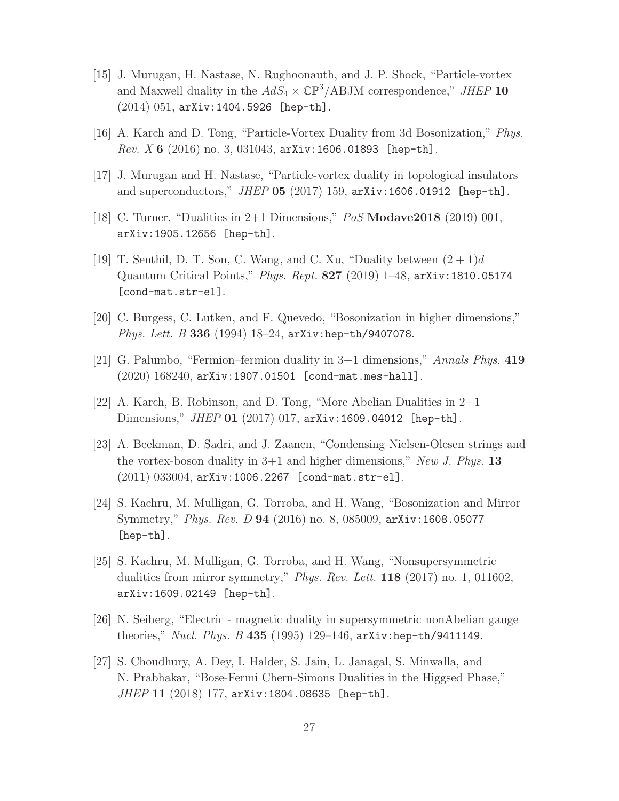- [15] J. Murugan, H. Nastase, N. Rughoonauth, and J. P. Shock, "Particle-vortex and Maxwell duality in the  $AdS_4 \times \mathbb{CP}^3/\text{ABJM}$  correspondence," JHEP 10 (2014) 051, arXiv:1404.5926 [hep-th].
- [16] A. Karch and D. Tong, "Particle-Vortex Duality from 3d Bosonization," Phys. Rev. X 6  $(2016)$  no. 3, 031043, arXiv:1606.01893 [hep-th].
- [17] J. Murugan and H. Nastase, "Particle-vortex duality in topological insulators and superconductors," JHEP 05 (2017) 159, arXiv:1606.01912 [hep-th].
- [18] C. Turner, "Dualities in  $2+1$  Dimensions,"  $PoS$  **Modave2018** (2019) 001, arXiv:1905.12656 [hep-th].
- [19] T. Senthil, D. T. Son, C. Wang, and C. Xu, "Duality between  $(2 + 1)d$ Quantum Critical Points," Phys. Rept. 827 (2019) 1–48, arXiv:1810.05174 [cond-mat.str-el].
- [20] C. Burgess, C. Lutken, and F. Quevedo, "Bosonization in higher dimensions," Phys. Lett. B 336 (1994) 18-24, arXiv:hep-th/9407078.
- [21] G. Palumbo, "Fermion–fermion duality in 3+1 dimensions," Annals Phys. 419 (2020) 168240, arXiv:1907.01501 [cond-mat.mes-hall].
- [22] A. Karch, B. Robinson, and D. Tong, "More Abelian Dualities in 2+1 Dimensions," *JHEP* 01 (2017) 017, arXiv:1609.04012 [hep-th].
- [23] A. Beekman, D. Sadri, and J. Zaanen, "Condensing Nielsen-Olesen strings and the vortex-boson duality in  $3+1$  and higher dimensions," New J. Phys. 13 (2011) 033004, arXiv:1006.2267 [cond-mat.str-el].
- [24] S. Kachru, M. Mulligan, G. Torroba, and H. Wang, "Bosonization and Mirror Symmetry," Phys. Rev. D 94 (2016) no. 8, 085009, arXiv:1608.05077 [hep-th].
- [25] S. Kachru, M. Mulligan, G. Torroba, and H. Wang, "Nonsupersymmetric dualities from mirror symmetry," Phys. Rev. Lett. **118** (2017) no. 1, 011602, arXiv:1609.02149 [hep-th].
- [26] N. Seiberg, "Electric magnetic duality in supersymmetric nonAbelian gauge theories," Nucl. Phys. B 435 (1995) 129–146, arXiv:hep-th/9411149.
- [27] S. Choudhury, A. Dey, I. Halder, S. Jain, L. Janagal, S. Minwalla, and N. Prabhakar, "Bose-Fermi Chern-Simons Dualities in the Higgsed Phase," JHEP 11 (2018) 177, arXiv:1804.08635 [hep-th].